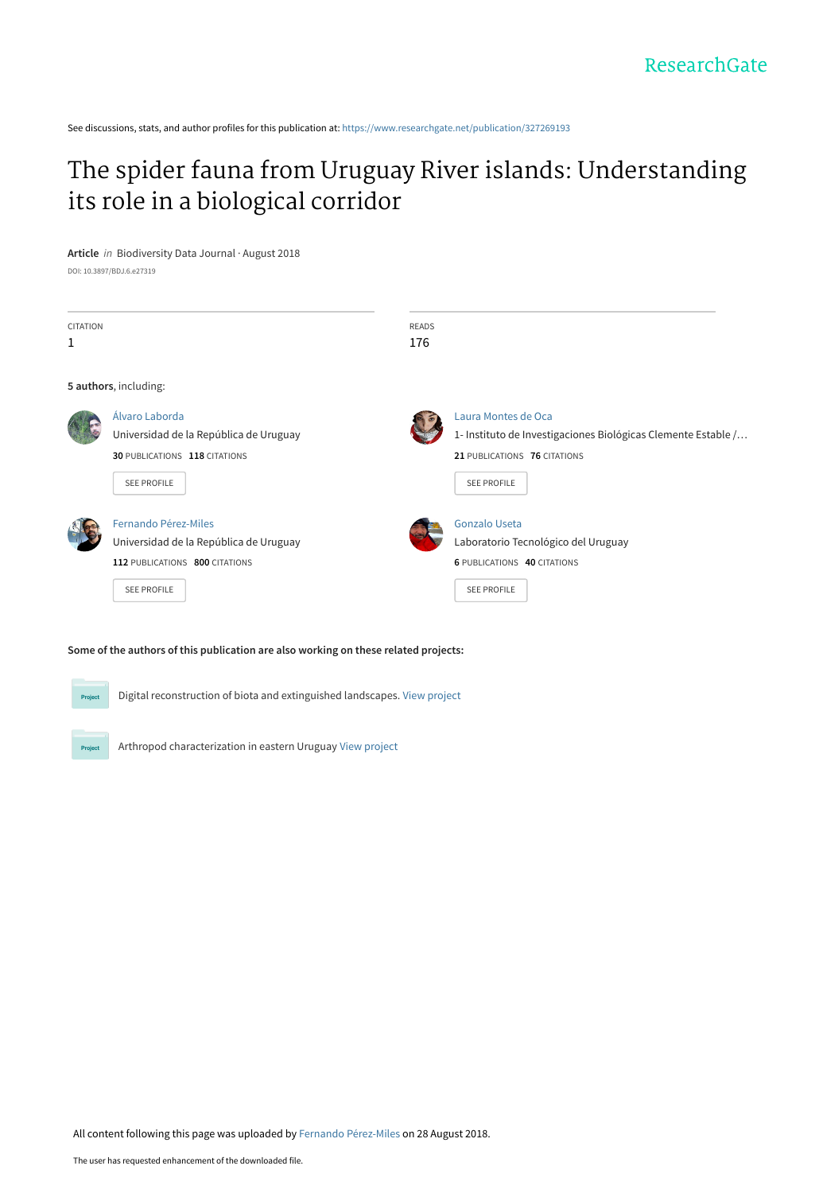See discussions, stats, and author profiles for this publication at: [https://www.researchgate.net/publication/327269193](https://www.researchgate.net/publication/327269193_The_spider_fauna_from_Uruguay_River_islands_Understanding_its_role_in_a_biological_corridor?enrichId=rgreq-bfcb1a83a39a45010015664b46e8ed99-XXX&enrichSource=Y292ZXJQYWdlOzMyNzI2OTE5MztBUzo2NjQ1ODQ4MDk2Mjc2NjFAMTUzNTQ2MDc3NDcyOQ%3D%3D&el=1_x_2&_esc=publicationCoverPdf)

## [The spider fauna from Uruguay River islands: Understanding](https://www.researchgate.net/publication/327269193_The_spider_fauna_from_Uruguay_River_islands_Understanding_its_role_in_a_biological_corridor?enrichId=rgreq-bfcb1a83a39a45010015664b46e8ed99-XXX&enrichSource=Y292ZXJQYWdlOzMyNzI2OTE5MztBUzo2NjQ1ODQ4MDk2Mjc2NjFAMTUzNTQ2MDc3NDcyOQ%3D%3D&el=1_x_3&_esc=publicationCoverPdf) its role in a biological corridor

**Article** in Biodiversity Data Journal · August 2018

DOI: 10.3897/BDJ.6.e27319

| <b>CITATION</b><br>1 |                                                                                                                               | <b>READS</b><br>176 |                                                                                                                                            |
|----------------------|-------------------------------------------------------------------------------------------------------------------------------|---------------------|--------------------------------------------------------------------------------------------------------------------------------------------|
|                      | 5 authors, including:                                                                                                         |                     |                                                                                                                                            |
|                      | Álvaro Laborda<br>Universidad de la República de Uruguay<br>30 PUBLICATIONS 118 CITATIONS<br><b>SEE PROFILE</b>               |                     | Laura Montes de Oca<br>1- Instituto de Investigaciones Biológicas Clemente Estable /<br>21 PUBLICATIONS 76 CITATIONS<br><b>SEE PROFILE</b> |
|                      | <b>Fernando Pérez-Miles</b><br>Universidad de la República de Uruguay<br>112 PUBLICATIONS 800 CITATIONS<br><b>SEE PROFILE</b> |                     | <b>Gonzalo Useta</b><br>Laboratorio Tecnológico del Uruguay<br>6 PUBLICATIONS 40 CITATIONS<br><b>SEE PROFILE</b>                           |

**Some of the authors of this publication are also working on these related projects:**

Digital reconstruction of biota and extinguished landscapes. [View project](https://www.researchgate.net/project/Digital-reconstruction-of-biota-and-extinguished-landscapes?enrichId=rgreq-bfcb1a83a39a45010015664b46e8ed99-XXX&enrichSource=Y292ZXJQYWdlOzMyNzI2OTE5MztBUzo2NjQ1ODQ4MDk2Mjc2NjFAMTUzNTQ2MDc3NDcyOQ%3D%3D&el=1_x_9&_esc=publicationCoverPdf)

Arthropod characterization in eastern Uruguay [View project](https://www.researchgate.net/project/Arthropod-characterization-in-eastern-Uruguay?enrichId=rgreq-bfcb1a83a39a45010015664b46e8ed99-XXX&enrichSource=Y292ZXJQYWdlOzMyNzI2OTE5MztBUzo2NjQ1ODQ4MDk2Mjc2NjFAMTUzNTQ2MDc3NDcyOQ%3D%3D&el=1_x_9&_esc=publicationCoverPdf)

All content following this page was uploaded by [Fernando Pérez-Miles](https://www.researchgate.net/profile/Fernando_Perez-Miles?enrichId=rgreq-bfcb1a83a39a45010015664b46e8ed99-XXX&enrichSource=Y292ZXJQYWdlOzMyNzI2OTE5MztBUzo2NjQ1ODQ4MDk2Mjc2NjFAMTUzNTQ2MDc3NDcyOQ%3D%3D&el=1_x_10&_esc=publicationCoverPdf) on 28 August 2018.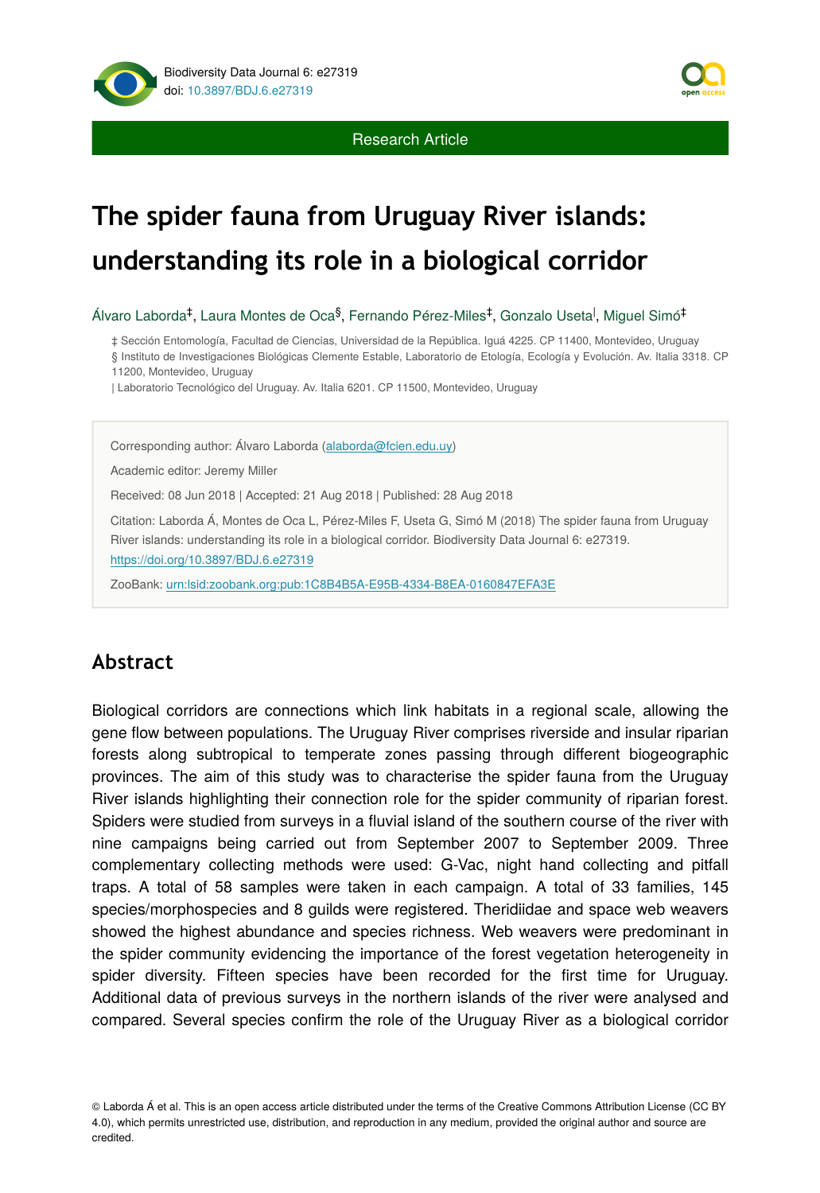



# **The spider fauna from Uruguay River islands: understanding its role in a biological corridor**

Álvaro Laborda‡, Laura Montes de Oca<sup>§</sup>, Fernando Pérez-Miles‡, Gonzalo Useta<sup>l</sup>, Miguel Simó‡

‡ Sección Entomología, Facultad de Ciencias, Universidad de la República. Iguá 4225. CP 11400, Montevideo, Uruguay § Instituto de Investigaciones Biológicas Clemente Estable, Laboratorio de Etología, Ecología y Evolución. Av. Italia 3318. CP

11200, Montevideo, Uruguay

| Laboratorio Tecnológico del Uruguay. Av. Italia 6201. CP 11500, Montevideo, Uruguay

Corresponding author: Álvaro Laborda ([alaborda@fcien.edu.uy\)](mailto:alaborda@fcien.edu.uy)

Academic editor: Jeremy Miller

Received: 08 Jun 2018 | Accepted: 21 Aug 2018 | Published: 28 Aug 2018

Citation: Laborda Á, Montes de Oca L, Pérez-Miles F, Useta G, Simó M (2018) The spider fauna from Uruguay River islands: understanding its role in a biological corridor. Biodiversity Data Journal 6: e27319. <https://doi.org/10.3897/BDJ.6.e27319>

ZooBank: [urn:lsid:zoobank.org:pub:1C8B4B5A-E95B-4334-B8EA-0160847EFA3E](http://zoobank.org/1C8B4B5A-E95B-4334-B8EA-0160847EFA3E)

## **Abstract**

Biological corridors are connections which link habitats in a regional scale, allowing the gene flow between populations. The Uruguay River comprises riverside and insular riparian forests along subtropical to temperate zones passing through different biogeographic provinces. The aim of this study was to characterise the spider fauna from the Uruguay River islands highlighting their connection role for the spider community of riparian forest. Spiders were studied from surveys in a fluvial island of the southern course of the river with nine campaigns being carried out from September 2007 to September 2009. Three complementary collecting methods were used: G-Vac, night hand collecting and pitfall traps. A total of 58 samples were taken in each campaign. A total of 33 families, 145 species/morphospecies and 8 guilds were registered. Theridiidae and space web weavers showed the highest abundance and species richness. Web weavers were predominant in the spider community evidencing the importance of the forest vegetation heterogeneity in spider diversity. Fifteen species have been recorded for the first time for Uruguay. Additional data of previous surveys in the northern islands of the river were analysed and compared. Several species confirm the role of the Uruguay River as a biological corridor

© Laborda Á et al. This is an open access article distributed under the terms of the Creative Commons Attribution License (CC BY 4.0), which permits unrestricted use, distribution, and reproduction in any medium, provided the original author and source are credited.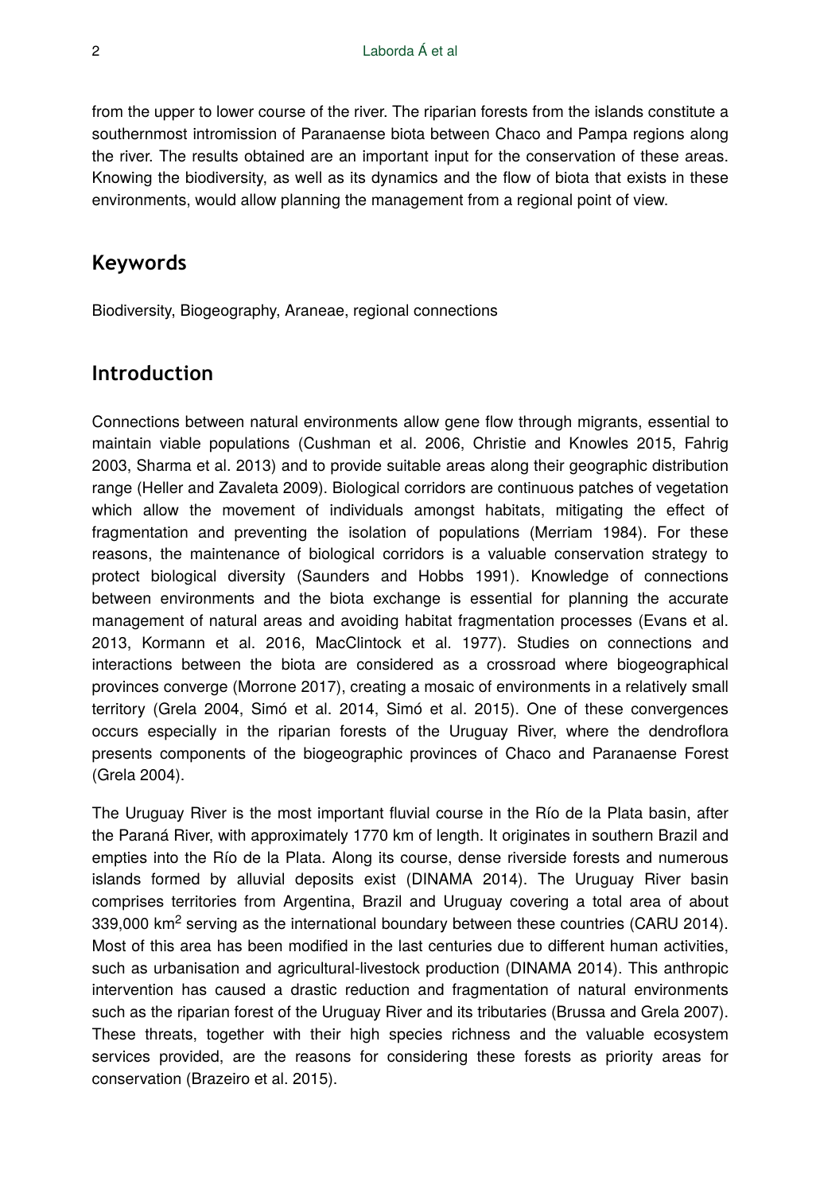from the upper to lower course of the river. The riparian forests from the islands constitute a southernmost intromission of Paranaense biota between Chaco and Pampa regions along the river. The results obtained are an important input for the conservation of these areas. Knowing the biodiversity, as well as its dynamics and the flow of biota that exists in these environments, would allow planning the management from a regional point of view.

## **Keywords**

Biodiversity, Biogeography, Araneae, regional connections

## **Introduction**

Connections between natural environments allow gene flow through migrants, essential to maintain viable populations (Cushman et al. 2006, Christie and Knowles 2015, Fahrig 2003, Sharma et al. 2013) and to provide suitable areas along their geographic distribution range (Heller and Zavaleta 2009). Biological corridors are continuous patches of vegetation which allow the movement of individuals amongst habitats, mitigating the effect of fragmentation and preventing the isolation of populations (Merriam 1984). For these reasons, the maintenance of biological corridors is a valuable conservation strategy to protect biological diversity (Saunders and Hobbs 1991). Knowledge of connections between environments and the biota exchange is essential for planning the accurate management of natural areas and avoiding habitat fragmentation processes (Evans et al. 2013, Kormann et al. 2016, MacClintock et al. 1977). Studies on connections and interactions between the biota are considered as a crossroad where biogeographical provinces converge (Morrone 2017), creating a mosaic of environments in a relatively small territory (Grela 2004, Simó et al. 2014, Simó et al. 2015). One of these convergences occurs especially in the riparian forests of the Uruguay River, where the dendroflora presents components of the biogeographic provinces of Chaco and Paranaense Forest (Grela 2004).

The Uruguay River is the most important fluvial course in the Río de la Plata basin, after the Paraná River, with approximately 1770 km of length. It originates in southern Brazil and empties into the Río de la Plata. Along its course, dense riverside forests and numerous islands formed by alluvial deposits exist (DINAMA 2014). The Uruguay River basin comprises territories from Argentina, Brazil and Uruguay covering a total area of about 339,000  $\text{km}^2$  serving as the international boundary between these countries (CARU 2014). Most of this area has been modified in the last centuries due to different human activities, such as urbanisation and agricultural-livestock production (DINAMA 2014). This anthropic intervention has caused a drastic reduction and fragmentation of natural environments such as the riparian forest of the Uruguay River and its tributaries (Brussa and Grela 2007). These threats, together with their high species richness and the valuable ecosystem services provided, are the reasons for considering these forests as priority areas for conservation (Brazeiro et al. 2015).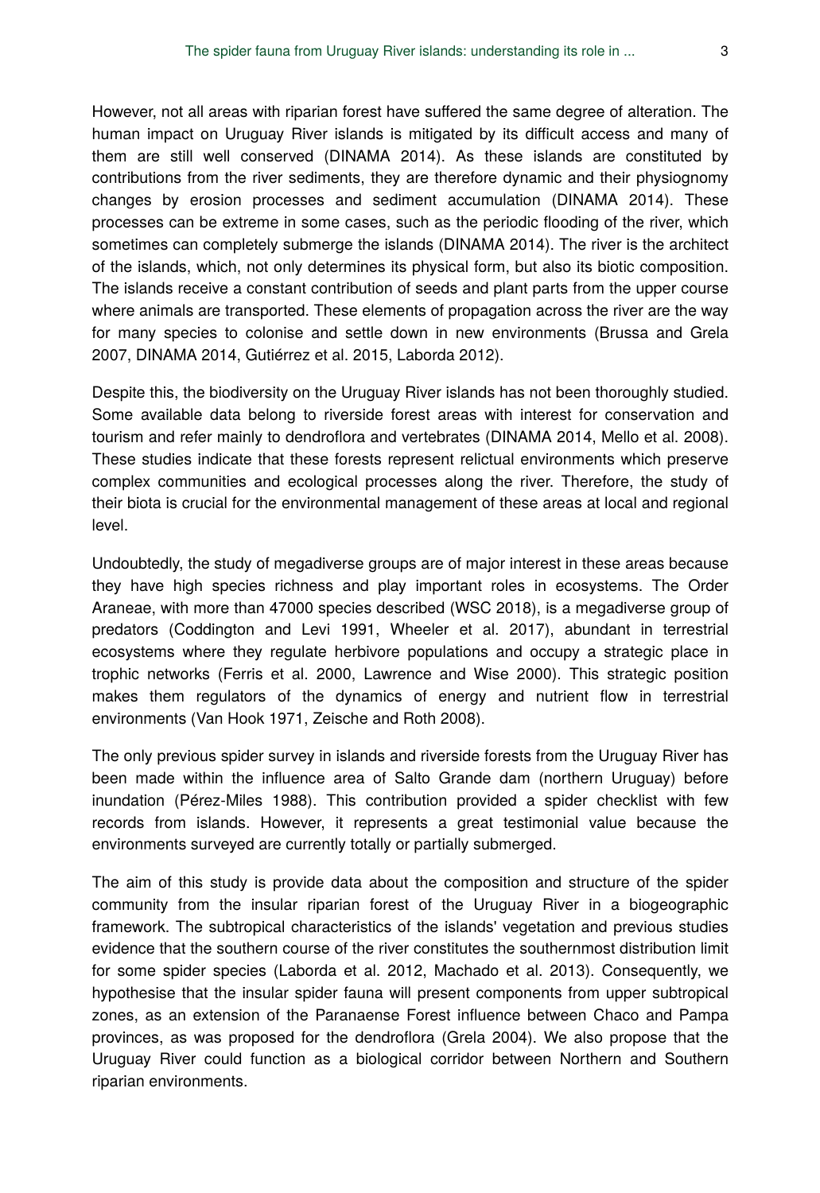However, not all areas with riparian forest have suffered the same degree of alteration. The human impact on Uruguay River islands is mitigated by its difficult access and many of them are still well conserved (DINAMA 2014). As these islands are constituted by contributions from the river sediments, they are therefore dynamic and their physiognomy changes by erosion processes and sediment accumulation (DINAMA 2014). These processes can be extreme in some cases, such as the periodic flooding of the river, which sometimes can completely submerge the islands (DINAMA 2014). The river is the architect of the islands, which, not only determines its physical form, but also its biotic composition. The islands receive a constant contribution of seeds and plant parts from the upper course where animals are transported. These elements of propagation across the river are the way for many species to colonise and settle down in new environments (Brussa and Grela 2007, DINAMA 2014, Gutiérrez et al. 2015, Laborda 2012).

Despite this, the biodiversity on the Uruguay River islands has not been thoroughly studied. Some available data belong to riverside forest areas with interest for conservation and tourism and refer mainly to dendroflora and vertebrates (DINAMA 2014, Mello et al. 2008). These studies indicate that these forests represent relictual environments which preserve complex communities and ecological processes along the river. Therefore, the study of their biota is crucial for the environmental management of these areas at local and regional level.

Undoubtedly, the study of megadiverse groups are of major interest in these areas because they have high species richness and play important roles in ecosystems. The Order Araneae, with more than 47000 species described (WSC 2018), is a megadiverse group of predators (Coddington and Levi 1991, Wheeler et al. 2017), abundant in terrestrial ecosystems where they regulate herbivore populations and occupy a strategic place in trophic networks (Ferris et al. 2000, Lawrence and Wise 2000). This strategic position makes them regulators of the dynamics of energy and nutrient flow in terrestrial environments (Van Hook 1971, Zeische and Roth 2008).

The only previous spider survey in islands and riverside forests from the Uruguay River has been made within the influence area of Salto Grande dam (northern Uruguay) before inundation (Pérez-Miles 1988). This contribution provided a spider checklist with few records from islands. However, it represents a great testimonial value because the environments surveyed are currently totally or partially submerged.

The aim of this study is provide data about the composition and structure of the spider community from the insular riparian forest of the Uruguay River in a biogeographic framework. The subtropical characteristics of the islands' vegetation and previous studies evidence that the southern course of the river constitutes the southernmost distribution limit for some spider species (Laborda et al. 2012, Machado et al. 2013). Consequently, we hypothesise that the insular spider fauna will present components from upper subtropical zones, as an extension of the Paranaense Forest influence between Chaco and Pampa provinces, as was proposed for the dendroflora (Grela 2004). We also propose that the Uruguay River could function as a biological corridor between Northern and Southern riparian environments.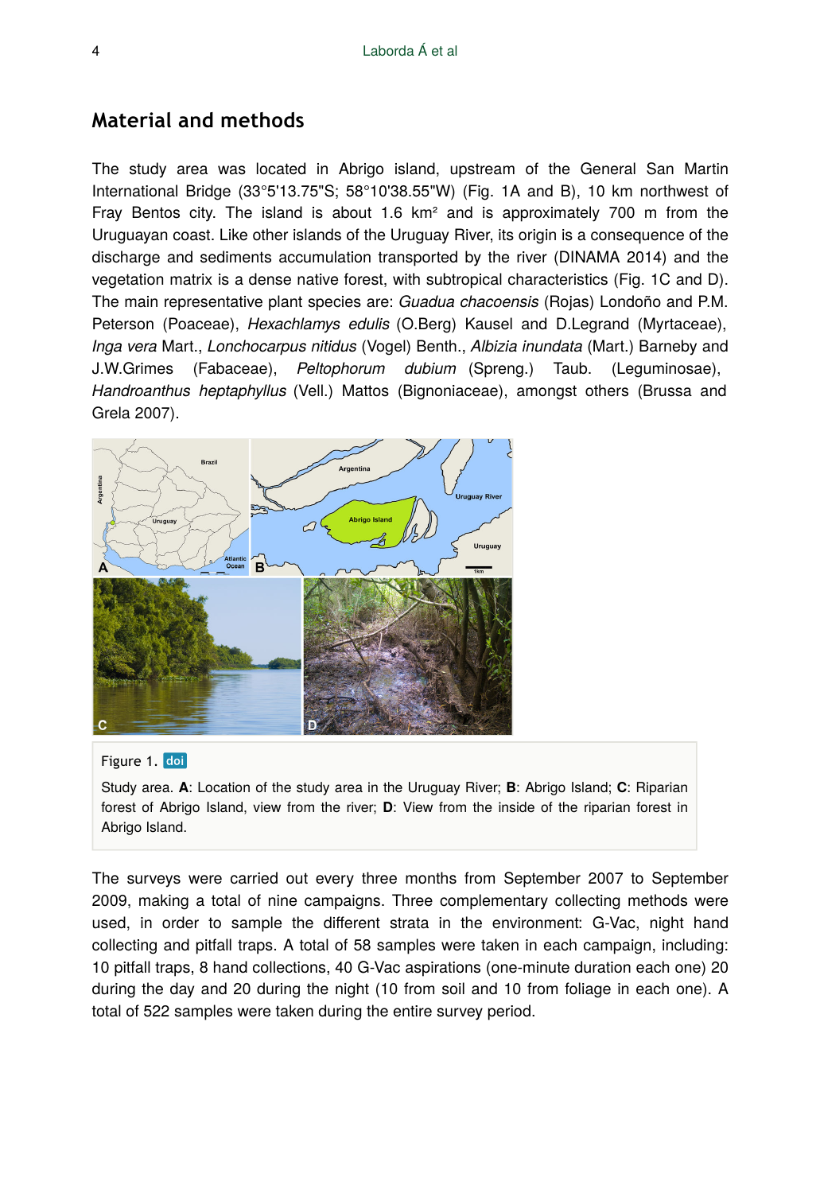## **Material and methods**

The study area was located in Abrigo island, upstream of the General San Martin International Bridge (33°5'13.75"S; 58°10'38.55"W) (Fig. 1A and B), 10 km northwest of Fray Bentos city. The island is about 1.6  $km<sup>2</sup>$  and is approximately 700 m from the Uruguayan coast. Like other islands of the Uruguay River, its origin is a consequence of the discharge and sediments accumulation transported by the river (DINAMA 2014) and the vegetation matrix is a dense native forest, with subtropical characteristics (Fig. 1C and D). The main representative plant species are: *Guadua chacoensis* (Rojas) Londoño and P.M. Peterson (Poaceae), *Hexachlamys edulis* (O.Berg) Kausel and D.Legrand (Myrtaceae), *Inga vera* Mart., *Lonchocarpus nitidus* (Vogel) Benth., *Albizia inundata* (Mart.) Barneby and J.W.Grimes (Fabaceae), *Peltophorum dubium* (Spreng.) Taub. (Leguminosae), *Handroanthus heptaphyllus* (Vell.) Mattos (Bignoniaceae), amongst others (Brussa and Grela 2007).



#### Figure 1. doi

Study area. **A**: Location of the study area in the Uruguay River; **B**: Abrigo Island; **C**: Riparian forest of Abrigo Island, view from the river; **D**: View from the inside of the riparian forest in Abrigo Island.

The surveys were carried out every three months from September 2007 to September 2009, making a total of nine campaigns. Three complementary collecting methods were used, in order to sample the different strata in the environment: G-Vac, night hand collecting and pitfall traps. A total of 58 samples were taken in each campaign, including: 10 pitfall traps, 8 hand collections, 40 G-Vac aspirations (one-minute duration each one) 20 during the day and 20 during the night (10 from soil and 10 from foliage in each one). A total of 522 samples were taken during the entire survey period.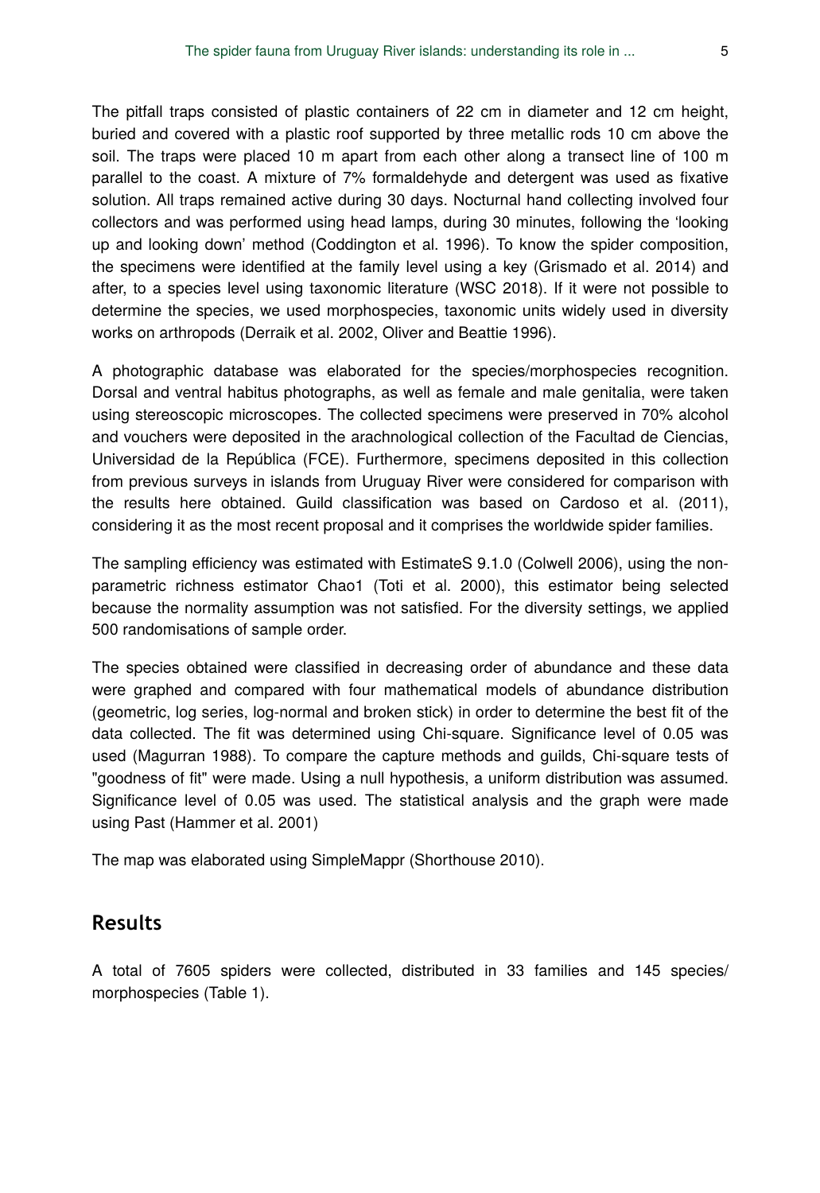The pitfall traps consisted of plastic containers of 22 cm in diameter and 12 cm height, buried and covered with a plastic roof supported by three metallic rods 10 cm above the soil. The traps were placed 10 m apart from each other along a transect line of 100 m parallel to the coast. A mixture of 7% formaldehyde and detergent was used as fixative solution. All traps remained active during 30 days. Nocturnal hand collecting involved four collectors and was performed using head lamps, during 30 minutes, following the 'looking up and looking down' method (Coddington et al. 1996). To know the spider composition, the specimens were identified at the family level using a key (Grismado et al. 2014) and after, to a species level using taxonomic literature (WSC 2018). If it were not possible to determine the species, we used morphospecies, taxonomic units widely used in diversity works on arthropods (Derraik et al. 2002, Oliver and Beattie 1996).

A photographic database was elaborated for the species/morphospecies recognition. Dorsal and ventral habitus photographs, as well as female and male genitalia, were taken using stereoscopic microscopes. The collected specimens were preserved in 70% alcohol and vouchers were deposited in the arachnological collection of the Facultad de Ciencias, Universidad de la República (FCE). Furthermore, specimens deposited in this collection from previous surveys in islands from Uruguay River were considered for comparison with the results here obtained. Guild classification was based on Cardoso et al. (2011), considering it as the most recent proposal and it comprises the worldwide spider families.

The sampling efficiency was estimated with EstimateS 9.1.0 (Colwell 2006), using the nonparametric richness estimator Chao1 (Toti et al. 2000), this estimator being selected because the normality assumption was not satisfied. For the diversity settings, we applied 500 randomisations of sample order.

The species obtained were classified in decreasing order of abundance and these data were graphed and compared with four mathematical models of abundance distribution (geometric, log series, log-normal and broken stick) in order to determine the best fit of the data collected. The fit was determined using Chi-square. Significance level of 0.05 was used (Magurran 1988). To compare the capture methods and guilds, Chi-square tests of "goodness of fit" were made. Using a null hypothesis, a uniform distribution was assumed. Significance level of 0.05 was used. The statistical analysis and the graph were made using Past (Hammer et al. 2001)

The map was elaborated using SimpleMappr (Shorthouse 2010).

#### **Results**

A total of 7605 spiders were collected, distributed in 33 families and 145 species/ morphospecies (Table 1).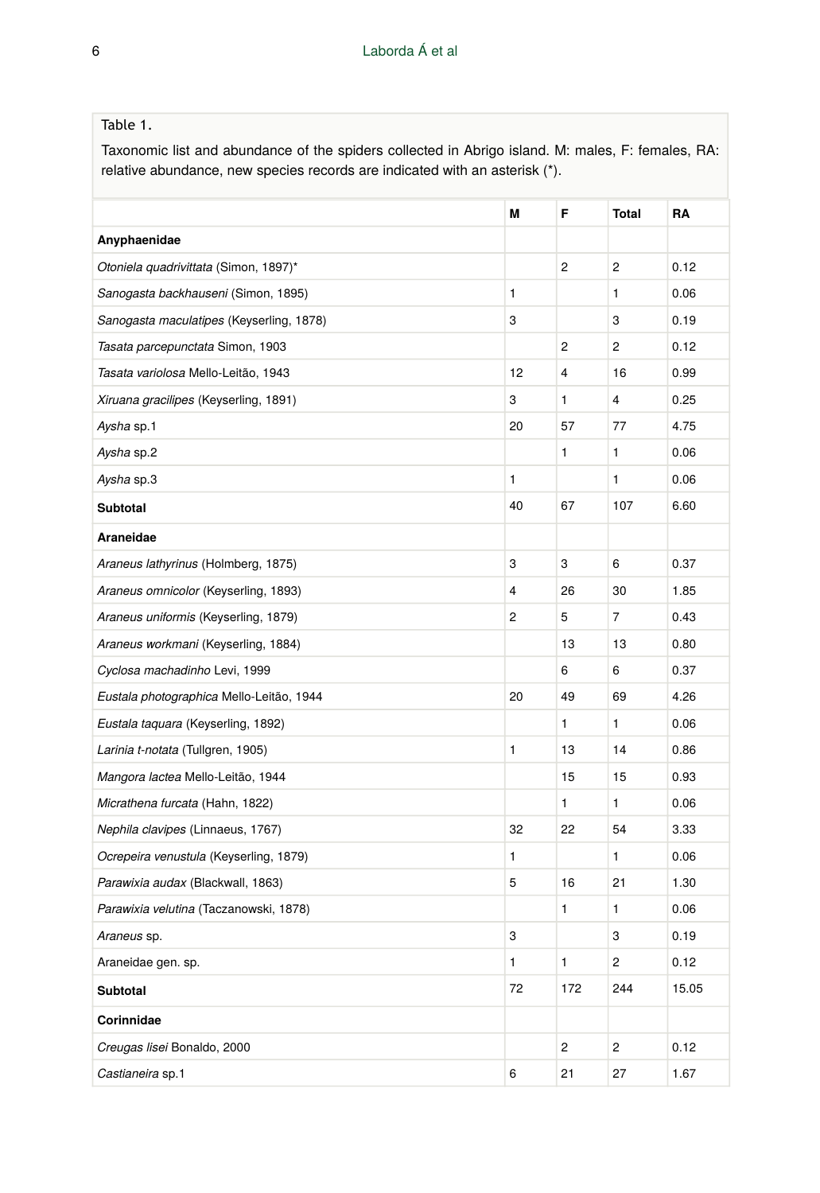#### Table 1.

Taxonomic list and abundance of the spiders collected in Abrigo island. M: males, F: females, RA: relative abundance, new species records are indicated with an asterisk (\*).

|                                          | Μ  | F            | <b>Total</b>   | RA    |
|------------------------------------------|----|--------------|----------------|-------|
| Anyphaenidae                             |    |              |                |       |
| Otoniela quadrivittata (Simon, 1897)*    |    | 2            | $\overline{c}$ | 0.12  |
| Sanogasta backhauseni (Simon, 1895)      | 1  |              | 1              | 0.06  |
| Sanogasta maculatipes (Keyserling, 1878) | 3  |              | 3              | 0.19  |
| Tasata parcepunctata Simon, 1903         |    | 2            | $\overline{c}$ | 0.12  |
| Tasata variolosa Mello-Leitão, 1943      | 12 | 4            | 16             | 0.99  |
| Xiruana gracilipes (Keyserling, 1891)    | 3  | 1            | 4              | 0.25  |
| Aysha sp.1                               | 20 | 57           | 77             | 4.75  |
| Aysha sp.2                               |    | 1            | 1              | 0.06  |
| Aysha sp.3                               | 1  |              | 1              | 0.06  |
| Subtotal                                 | 40 | 67           | 107            | 6.60  |
| Araneidae                                |    |              |                |       |
| Araneus lathyrinus (Holmberg, 1875)      | 3  | 3            | 6              | 0.37  |
| Araneus omnicolor (Keyserling, 1893)     | 4  | 26           | 30             | 1.85  |
| Araneus uniformis (Keyserling, 1879)     | 2  | 5            | 7              | 0.43  |
| Araneus workmani (Keyserling, 1884)      |    | 13           | 13             | 0.80  |
| Cyclosa machadinho Levi, 1999            |    | 6            | 6              | 0.37  |
| Eustala photographica Mello-Leitão, 1944 | 20 | 49           | 69             | 4.26  |
| Eustala taquara (Keyserling, 1892)       |    | $\mathbf{1}$ | 1              | 0.06  |
| Larinia t-notata (Tullgren, 1905)        | 1  | 13           | 14             | 0.86  |
| Mangora lactea Mello-Leitão, 1944        |    | 15           | 15             | 0.93  |
| Micrathena furcata (Hahn, 1822)          |    | 1            | 1              | 0.06  |
| Nephila clavipes (Linnaeus, 1767)        | 32 | 22           | 54             | 3.33  |
| Ocrepeira venustula (Keyserling, 1879)   | 1  |              | 1              | 0.06  |
| Parawixia audax (Blackwall, 1863)        | 5  | 16           | 21             | 1.30  |
| Parawixia velutina (Taczanowski, 1878)   |    | $\mathbf{1}$ | 1              | 0.06  |
| Araneus sp.                              | 3  |              | 3              | 0.19  |
| Araneidae gen. sp.                       | 1  | $\mathbf{1}$ | 2              | 0.12  |
| Subtotal                                 | 72 | 172          | 244            | 15.05 |
| Corinnidae                               |    |              |                |       |
| Creugas lisei Bonaldo, 2000              |    | 2            | $\overline{c}$ | 0.12  |
| Castianeira sp.1                         | 6  | 21           | 27             | 1.67  |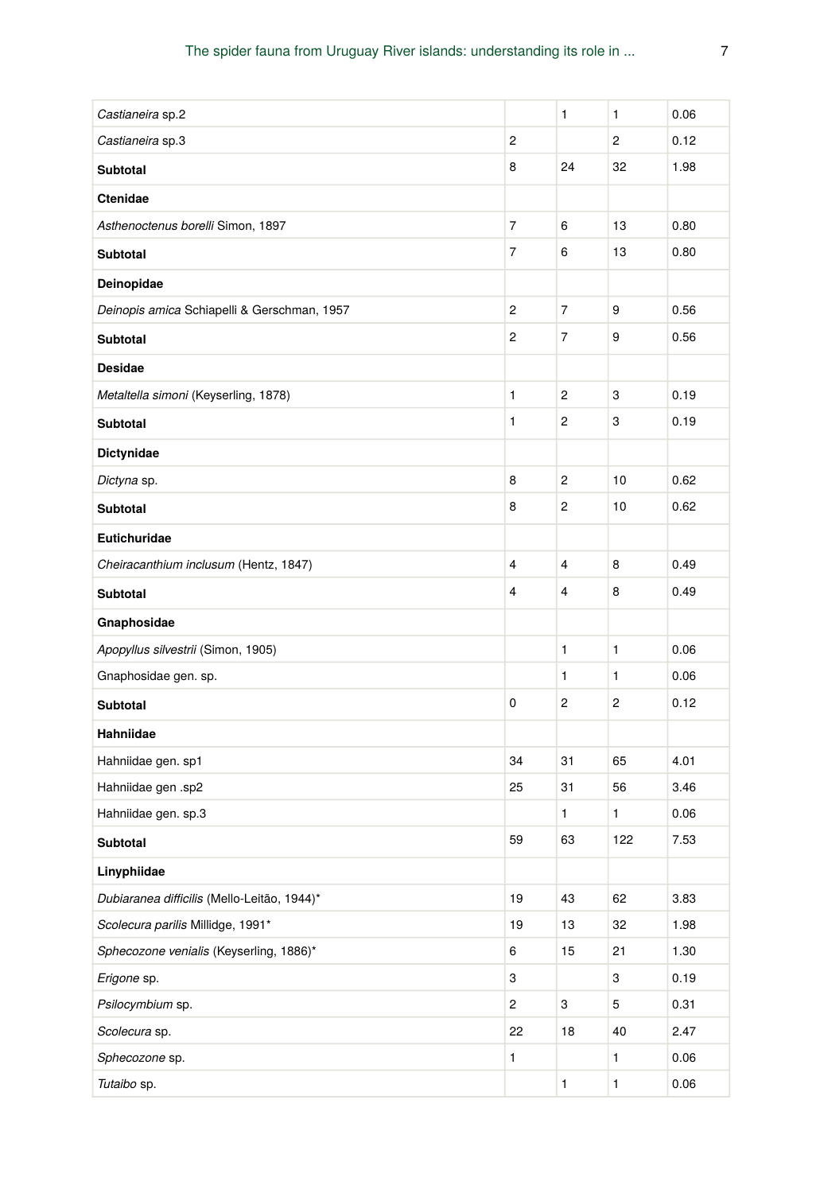| Castianeira sp.2                            |                | 1              | 1              | 0.06 |
|---------------------------------------------|----------------|----------------|----------------|------|
| Castianeira sp.3                            | $\overline{c}$ |                | 2              | 0.12 |
| <b>Subtotal</b>                             | 8              | 24             | 32             | 1.98 |
| Ctenidae                                    |                |                |                |      |
| Asthenoctenus borelli Simon, 1897           | $\overline{7}$ | 6              | 13             | 0.80 |
| <b>Subtotal</b>                             | 7              | 6              | 13             | 0.80 |
| Deinopidae                                  |                |                |                |      |
| Deinopis amica Schiapelli & Gerschman, 1957 | $\overline{2}$ | $\overline{7}$ | 9              | 0.56 |
| <b>Subtotal</b>                             | 2              | 7              | 9              | 0.56 |
| <b>Desidae</b>                              |                |                |                |      |
| Metaltella simoni (Keyserling, 1878)        | 1              | 2              | 3              | 0.19 |
| Subtotal                                    | 1              | 2              | 3              | 0.19 |
| Dictynidae                                  |                |                |                |      |
| Dictyna sp.                                 | 8              | 2              | 10             | 0.62 |
| <b>Subtotal</b>                             | 8              | 2              | 10             | 0.62 |
| Eutichuridae                                |                |                |                |      |
| Cheiracanthium inclusum (Hentz, 1847)       | $\overline{4}$ | $\overline{4}$ | 8              | 0.49 |
| <b>Subtotal</b>                             | 4              | $\overline{4}$ | 8              | 0.49 |
| Gnaphosidae                                 |                |                |                |      |
| Apopyllus silvestrii (Simon, 1905)          |                | 1              | 1              | 0.06 |
| Gnaphosidae gen. sp.                        |                | 1              | 1              | 0.06 |
| <b>Subtotal</b>                             | 0              | 2              | $\overline{c}$ | 0.12 |
| Hahniidae                                   |                |                |                |      |
| Hahniidae gen. sp1                          | 34             | 31             | 65             | 4.01 |
| Hahniidae gen .sp2                          | 25             | 31             | 56             | 3.46 |
| Hahniidae gen. sp.3                         |                | 1              | 1              | 0.06 |
| <b>Subtotal</b>                             | 59             | 63             | 122            | 7.53 |
| Linyphiidae                                 |                |                |                |      |
| Dubiaranea difficilis (Mello-Leitão, 1944)* | 19             | 43             | 62             | 3.83 |
| Scolecura parilis Millidge, 1991*           | 19             | 13             | 32             | 1.98 |
| Sphecozone venialis (Keyserling, 1886)*     | 6              | 15             | 21             | 1.30 |
| Erigone sp.                                 | 3              |                | 3              | 0.19 |
| Psilocymbium sp.                            | 2              | 3              | 5              | 0.31 |
| Scolecura sp.                               | 22             | 18             | 40             | 2.47 |
| Sphecozone sp.                              | 1              |                | 1              | 0.06 |
| Tutaibo sp.                                 |                | 1              | $\mathbf{1}$   | 0.06 |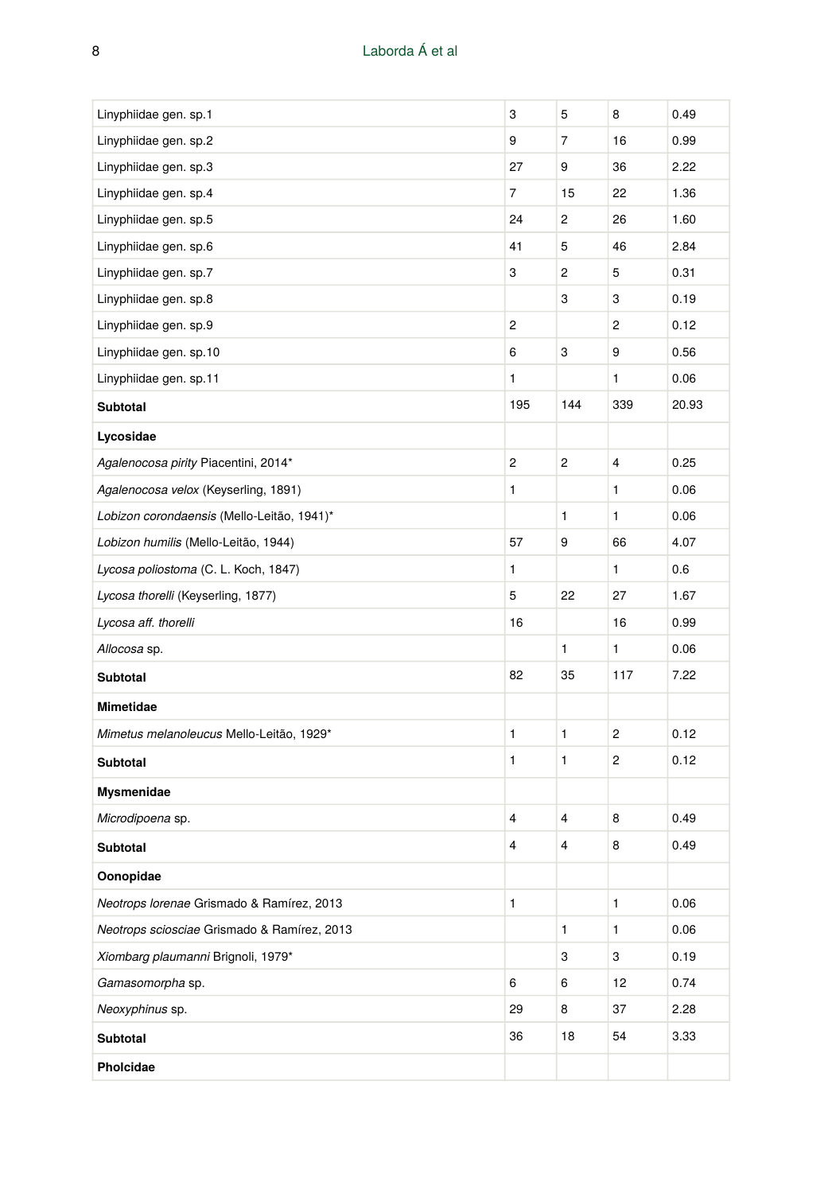| Linyphiidae gen. sp.1                       | 3   | 5   | 8              | 0.49  |
|---------------------------------------------|-----|-----|----------------|-------|
| Linyphiidae gen. sp.2                       | 9   | 7   | 16             | 0.99  |
| Linyphiidae gen. sp.3                       | 27  | 9   | 36             | 2.22  |
| Linyphiidae gen. sp.4                       | 7   | 15  | 22             | 1.36  |
| Linyphiidae gen. sp.5                       | 24  | 2   | 26             | 1.60  |
| Linyphiidae gen. sp.6                       | 41  | 5   | 46             | 2.84  |
| Linyphiidae gen. sp.7                       | 3   | 2   | 5              | 0.31  |
| Linyphiidae gen. sp.8                       |     | 3   | 3              | 0.19  |
| Linyphiidae gen. sp.9                       | 2   |     | 2              | 0.12  |
| Linyphiidae gen. sp.10                      | 6   | 3   | 9              | 0.56  |
| Linyphiidae gen. sp.11                      | 1   |     | 1              | 0.06  |
| Subtotal                                    | 195 | 144 | 339            | 20.93 |
| Lycosidae                                   |     |     |                |       |
| Agalenocosa pirity Piacentini, 2014*        | 2   | 2   | 4              | 0.25  |
| Agalenocosa velox (Keyserling, 1891)        | 1   |     | 1              | 0.06  |
| Lobizon corondaensis (Mello-Leitão, 1941)*  |     | 1   | 1              | 0.06  |
| Lobizon humilis (Mello-Leitão, 1944)        | 57  | 9   | 66             | 4.07  |
| Lycosa poliostoma (C. L. Koch, 1847)        | 1   |     | 1              | 0.6   |
| Lycosa thorelli (Keyserling, 1877)          | 5   | 22  | 27             | 1.67  |
| Lycosa aff. thorelli                        | 16  |     | 16             | 0.99  |
| Allocosa sp.                                |     | 1   | 1              | 0.06  |
| <b>Subtotal</b>                             | 82  | 35  | 117            | 7.22  |
| Mimetidae                                   |     |     |                |       |
| Mimetus melanoleucus Mello-Leitão, 1929*    | 1   | 1   | $\overline{c}$ | 0.12  |
| <b>Subtotal</b>                             | 1   | 1   | 2              | 0.12  |
| Mysmenidae                                  |     |     |                |       |
| Microdipoena sp.                            | 4   | 4   | 8              | 0.49  |
| <b>Subtotal</b>                             | 4   | 4   | 8              | 0.49  |
| Oonopidae                                   |     |     |                |       |
| Neotrops lorenae Grismado & Ramírez, 2013   | 1   |     | 1              | 0.06  |
| Neotrops sciosciae Grismado & Ramírez, 2013 |     | 1   | 1              | 0.06  |
| Xiombarg plaumanni Brignoli, 1979*          |     | 3   | 3              | 0.19  |
| Gamasomorpha sp.                            | 6   | 6   | 12             | 0.74  |
| Neoxyphinus sp.                             | 29  | 8   | 37             | 2.28  |
| Subtotal                                    | 36  | 18  | 54             | 3.33  |
| Pholcidae                                   |     |     |                |       |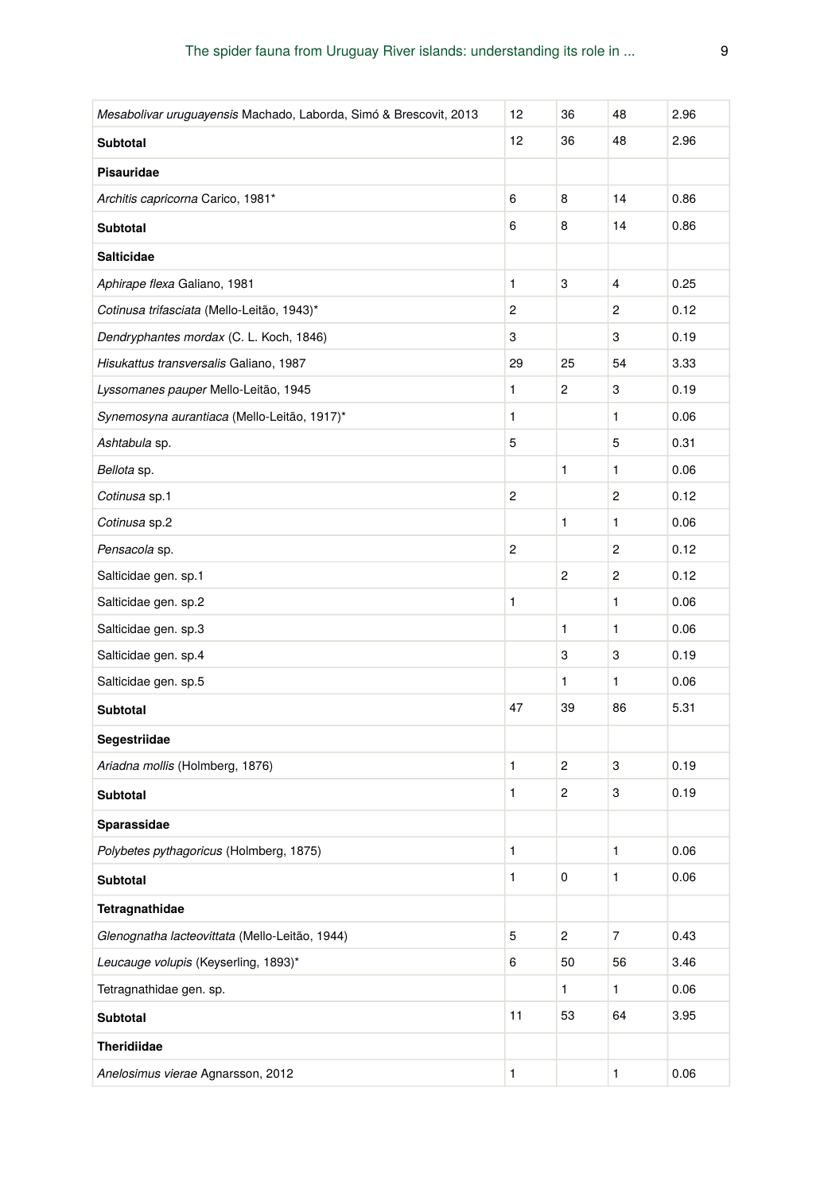| Mesabolivar uruguayensis Machado, Laborda, Simó & Brescovit, 2013 | 12 | 36             | 48 | 2.96 |
|-------------------------------------------------------------------|----|----------------|----|------|
| Subtotal                                                          | 12 | 36             | 48 | 2.96 |
| <b>Pisauridae</b>                                                 |    |                |    |      |
| Architis capricorna Carico, 1981*                                 | 6  | 8              | 14 | 0.86 |
| Subtotal                                                          | 6  | 8              | 14 | 0.86 |
| <b>Salticidae</b>                                                 |    |                |    |      |
| Aphirape flexa Galiano, 1981                                      | 1  | 3              | 4  | 0.25 |
| Cotinusa trifasciata (Mello-Leitão, 1943)*                        | 2  |                | 2  | 0.12 |
| Dendryphantes mordax (C. L. Koch, 1846)                           | 3  |                | 3  | 0.19 |
| Hisukattus transversalis Galiano, 1987                            | 29 | 25             | 54 | 3.33 |
| Lyssomanes pauper Mello-Leitão, 1945                              | 1  | 2              | 3  | 0.19 |
| Synemosyna aurantiaca (Mello-Leitão, 1917)*                       | 1  |                | 1  | 0.06 |
| Ashtabula sp.                                                     | 5  |                | 5  | 0.31 |
| Bellota sp.                                                       |    | 1              | 1  | 0.06 |
| Cotinusa sp.1                                                     | 2  |                | 2  | 0.12 |
| Cotinusa sp.2                                                     |    | 1              | 1  | 0.06 |
| Pensacola sp.                                                     | 2  |                | 2  | 0.12 |
| Salticidae gen. sp.1                                              |    | 2              | 2  | 0.12 |
| Salticidae gen. sp.2                                              | 1  |                | 1  | 0.06 |
| Salticidae gen. sp.3                                              |    | 1              | 1  | 0.06 |
| Salticidae gen. sp.4                                              |    | 3              | 3  | 0.19 |
| Salticidae gen. sp.5                                              |    | 1              | 1  | 0.06 |
| Subtotal                                                          | 47 | 39             | 86 | 5.31 |
| Segestriidae                                                      |    |                |    |      |
| Ariadna mollis (Holmberg, 1876)                                   | 1  | 2              | 3  | 0.19 |
| Subtotal                                                          | 1  | 2              | 3  | 0.19 |
| Sparassidae                                                       |    |                |    |      |
| Polybetes pythagoricus (Holmberg, 1875)                           | 1  |                | 1  | 0.06 |
| Subtotal                                                          | 1  | 0              | 1  | 0.06 |
| Tetragnathidae                                                    |    |                |    |      |
| Glenognatha lacteovittata (Mello-Leitão, 1944)                    | 5  | $\overline{c}$ | 7  | 0.43 |
| Leucauge volupis (Keyserling, 1893)*                              | 6  | 50             | 56 | 3.46 |
| Tetragnathidae gen. sp.                                           |    | 1              | 1  | 0.06 |
| Subtotal                                                          | 11 | 53             | 64 | 3.95 |
| Theridiidae                                                       |    |                |    |      |
| Anelosimus vierae Agnarsson, 2012                                 | 1  |                | 1  | 0.06 |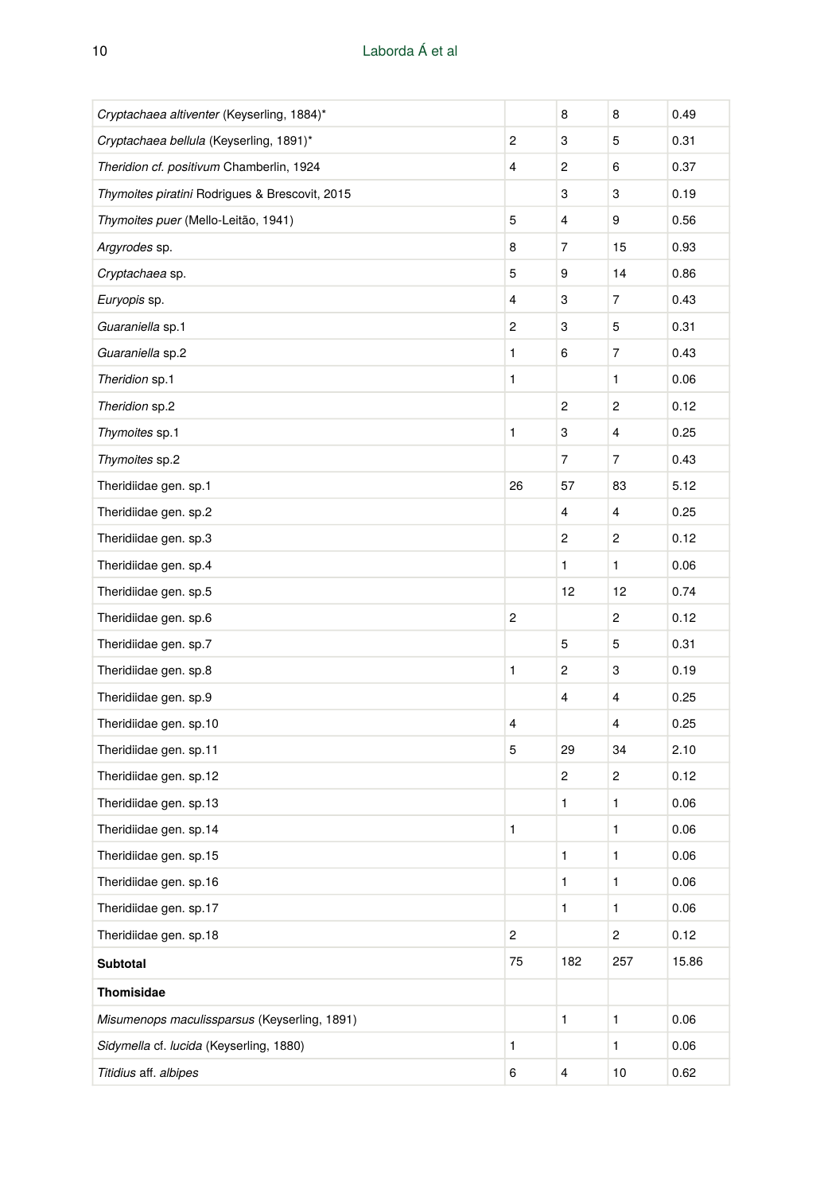| Cryptachaea altiventer (Keyserling, 1884)*     |                | 8   | 8    | 0.49  |
|------------------------------------------------|----------------|-----|------|-------|
| Cryptachaea bellula (Keyserling, 1891)*        | 2              | 3   | 5    | 0.31  |
| Theridion cf. positivum Chamberlin, 1924       | 4              | 2   | 6    | 0.37  |
| Thymoites piratini Rodrigues & Brescovit, 2015 |                | 3   | 3    | 0.19  |
| Thymoites puer (Mello-Leitão, 1941)            | 5              | 4   | 9    | 0.56  |
| Argyrodes sp.                                  | 8              | 7   | 15   | 0.93  |
| Cryptachaea sp.                                | 5              | 9   | 14   | 0.86  |
| Euryopis sp.                                   | 4              | 3   | 7    | 0.43  |
| Guaraniella sp.1                               | 2              | 3   | 5    | 0.31  |
| Guaraniella sp.2                               | 1              | 6   | 7    | 0.43  |
| Theridion sp.1                                 | 1              |     | 1    | 0.06  |
| Theridion sp.2                                 |                | 2   | 2    | 0.12  |
| Thymoites sp.1                                 | 1              | 3   | 4    | 0.25  |
| Thymoites sp.2                                 |                | 7   | 7    | 0.43  |
| Theridiidae gen. sp.1                          | 26             | 57  | 83   | 5.12  |
| Theridiidae gen. sp.2                          |                | 4   | 4    | 0.25  |
| Theridiidae gen. sp.3                          |                | 2   | 2    | 0.12  |
| Theridiidae gen. sp.4                          |                | 1   | 1    | 0.06  |
| Theridiidae gen. sp.5                          |                | 12  | 12   | 0.74  |
| Theridiidae gen. sp.6                          | 2              |     | 2    | 0.12  |
| Theridiidae gen. sp.7                          |                | 5   | 5    | 0.31  |
| Theridiidae gen. sp.8                          | 1              | 2   | 3    | 0.19  |
| Theridiidae gen. sp.9                          |                | 4   | 4    | 0.25  |
| Theridiidae gen. sp.10                         | 4              |     | 4    | 0.25  |
| Theridiidae gen. sp.11                         | 5              | 29  | 34   | 2.10  |
| Theridiidae gen. sp.12                         |                | 2   | 2    | 0.12  |
| Theridiidae gen. sp.13                         |                | 1   | 1    | 0.06  |
| Theridiidae gen. sp.14                         | 1              |     | 1    | 0.06  |
| Theridiidae gen. sp.15                         |                | 1   | 1    | 0.06  |
| Theridiidae gen. sp.16                         |                | 1   | 1    | 0.06  |
| Theridiidae gen. sp.17                         |                | 1   | 1    | 0.06  |
| Theridiidae gen. sp.18                         | $\overline{c}$ |     | 2    | 0.12  |
| Subtotal                                       | 75             | 182 | 257  | 15.86 |
| Thomisidae                                     |                |     |      |       |
| Misumenops maculissparsus (Keyserling, 1891)   |                | 1   | 1    | 0.06  |
| Sidymella cf. lucida (Keyserling, 1880)        | 1              |     | 1    | 0.06  |
| Titidius aff. albipes                          | 6              | 4   | $10$ | 0.62  |
|                                                |                |     |      |       |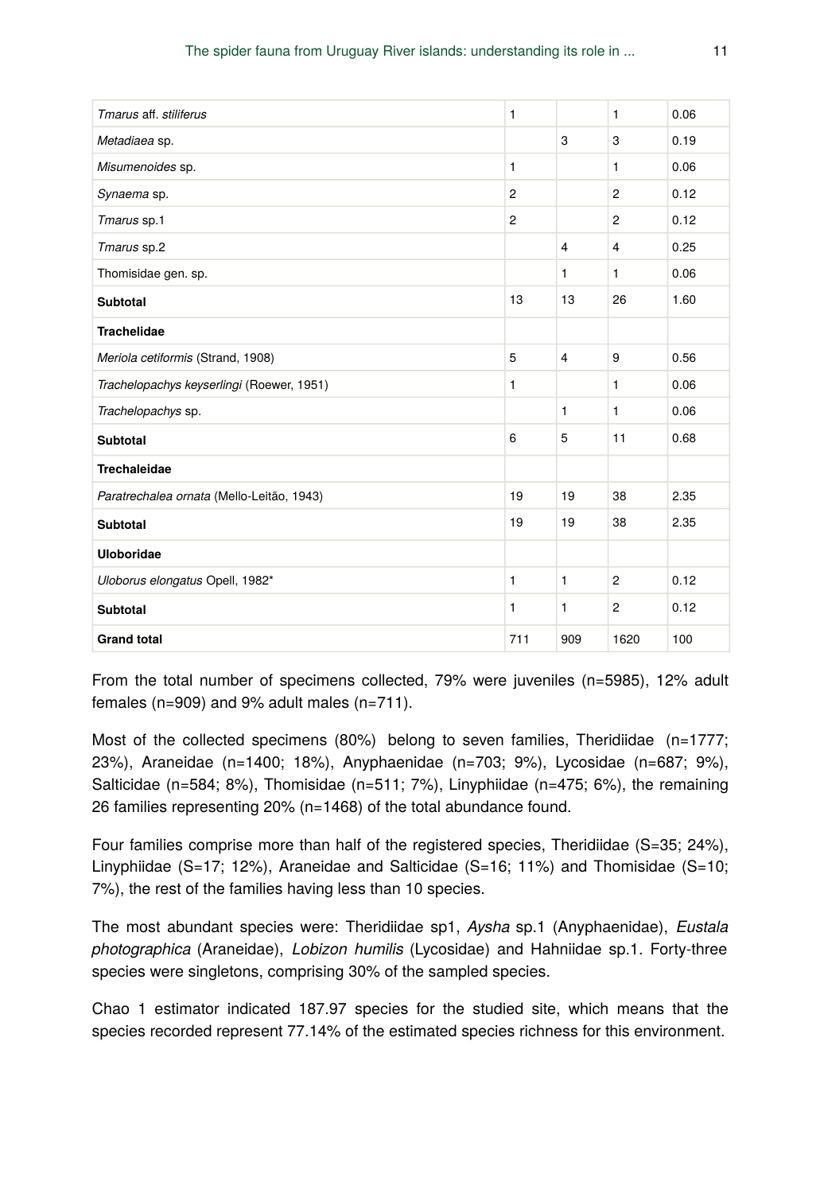| Tmarus aff. stiliferus                    | 1              |                | $\mathbf{1}$   | 0.06 |
|-------------------------------------------|----------------|----------------|----------------|------|
| Metadiaea sp.                             |                | 3              | 3              | 0.19 |
| Misumenoides sp.                          | 1              |                | $\mathbf{1}$   | 0.06 |
| Synaema sp.                               | $\overline{c}$ |                | $\overline{c}$ | 0.12 |
| Tmarus sp.1                               | $\overline{2}$ |                | $\overline{c}$ | 0.12 |
| Tmarus sp.2                               |                | $\overline{4}$ | $\overline{4}$ | 0.25 |
| Thomisidae gen. sp.                       |                | 1              | $\mathbf{1}$   | 0.06 |
| <b>Subtotal</b>                           | 13             | 13             | 26             | 1.60 |
| <b>Trachelidae</b>                        |                |                |                |      |
| Meriola cetiformis (Strand, 1908)         | 5              | $\overline{4}$ | 9              | 0.56 |
| Trachelopachys keyserlingi (Roewer, 1951) | 1              |                | $\mathbf{1}$   | 0.06 |
| Trachelopachys sp.                        |                | 1              | $\mathbf{1}$   | 0.06 |
| <b>Subtotal</b>                           | 6              | 5              | 11             | 0.68 |
| <b>Trechaleidae</b>                       |                |                |                |      |
| Paratrechalea ornata (Mello-Leitão, 1943) | 19             | 19             | 38             | 2.35 |
| <b>Subtotal</b>                           | 19             | 19             | 38             | 2.35 |
| <b>Uloboridae</b>                         |                |                |                |      |
| Uloborus elongatus Opell, 1982*           | 1              | 1              | $\overline{2}$ | 0.12 |
| <b>Subtotal</b>                           | 1              | 1              | $\overline{c}$ | 0.12 |
| <b>Grand total</b>                        | 711            | 909            | 1620           | 100  |

From the total number of specimens collected, 79% were juveniles (n=5985), 12% adult females (n=909) and 9% adult males (n=711).

Most of the collected specimens (80%) belong to seven families, Theridiidae (n=1777; 23%), Araneidae (n=1400; 18%), Anyphaenidae (n=703; 9%), Lycosidae (n=687; 9%), Salticidae (n=584; 8%), Thomisidae (n=511; 7%), Linyphiidae (n=475; 6%), the remaining 26 families representing 20% (n=1468) of the total abundance found.

Four families comprise more than half of the registered species, Theridiidae (S=35; 24%), Linyphiidae (S=17; 12%), Araneidae and Salticidae (S=16; 11%) and Thomisidae (S=10; 7%), the rest of the families having less than 10 species.

The most abundant species were: Theridiidae sp1, *Aysha* sp.1 (Anyphaenidae), *Eustala photographica* (Araneidae), *Lobizon humilis* (Lycosidae) and Hahniidae sp.1. Forty-three species were singletons, comprising 30% of the sampled species.

Chao 1 estimator indicated 187.97 species for the studied site, which means that the species recorded represent 77.14% of the estimated species richness for this environment.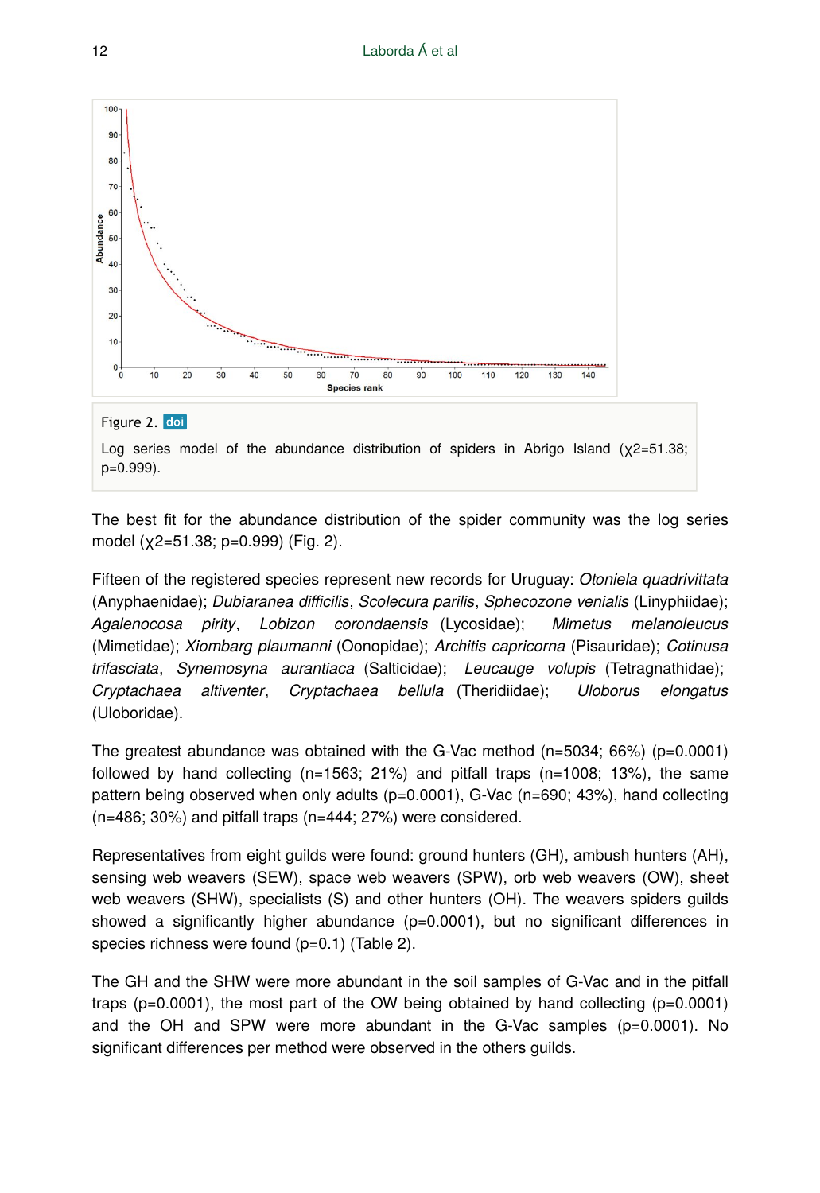



Log series model of the abundance distribution of spiders in Abrigo Island ( $\chi$ 2=51.38; p=0.999).

The best fit for the abundance distribution of the spider community was the log series model (χ2=51.38; p=0.999) (Fig. 2).

Fifteen of the registered species represent new records for Uruguay: *Otoniela quadrivittata* (Anyphaenidae); *Dubiaranea difficilis*, *Scolecura parilis*, *Sphecozone venialis* (Linyphiidae); *Agalenocosa pirity*, *Lobizon corondaensis* (Lycosidae); *Mimetus melanoleucus* (Mimetidae); *Xiombarg plaumanni* (Oonopidae); *Architis capricorna* (Pisauridae); *Cotinusa trifasciata*, *Synemosyna aurantiaca* (Salticidae); *Leucauge volupis* (Tetragnathidae); *Cryptachaea altiventer*, *Cryptachaea bellula* (Theridiidae); *Uloborus elongatus* (Uloboridae).

The greatest abundance was obtained with the G-Vac method  $(n=5034; 66%)$  (p=0.0001) followed by hand collecting (n=1563; 21%) and pitfall traps (n=1008; 13%), the same pattern being observed when only adults (p=0.0001), G-Vac (n=690; 43%), hand collecting (n=486; 30%) and pitfall traps (n=444; 27%) were considered.

Representatives from eight guilds were found: ground hunters (GH), ambush hunters (AH), sensing web weavers (SEW), space web weavers (SPW), orb web weavers (OW), sheet web weavers (SHW), specialists (S) and other hunters (OH). The weavers spiders guilds showed a significantly higher abundance  $(p=0.0001)$ , but no significant differences in species richness were found (p=0.1) (Table 2).

The GH and the SHW were more abundant in the soil samples of G-Vac and in the pitfall traps ( $p=0.0001$ ), the most part of the OW being obtained by hand collecting ( $p=0.0001$ ) and the OH and SPW were more abundant in the G-Vac samples  $(p=0.0001)$ . No significant differences per method were observed in the others guilds.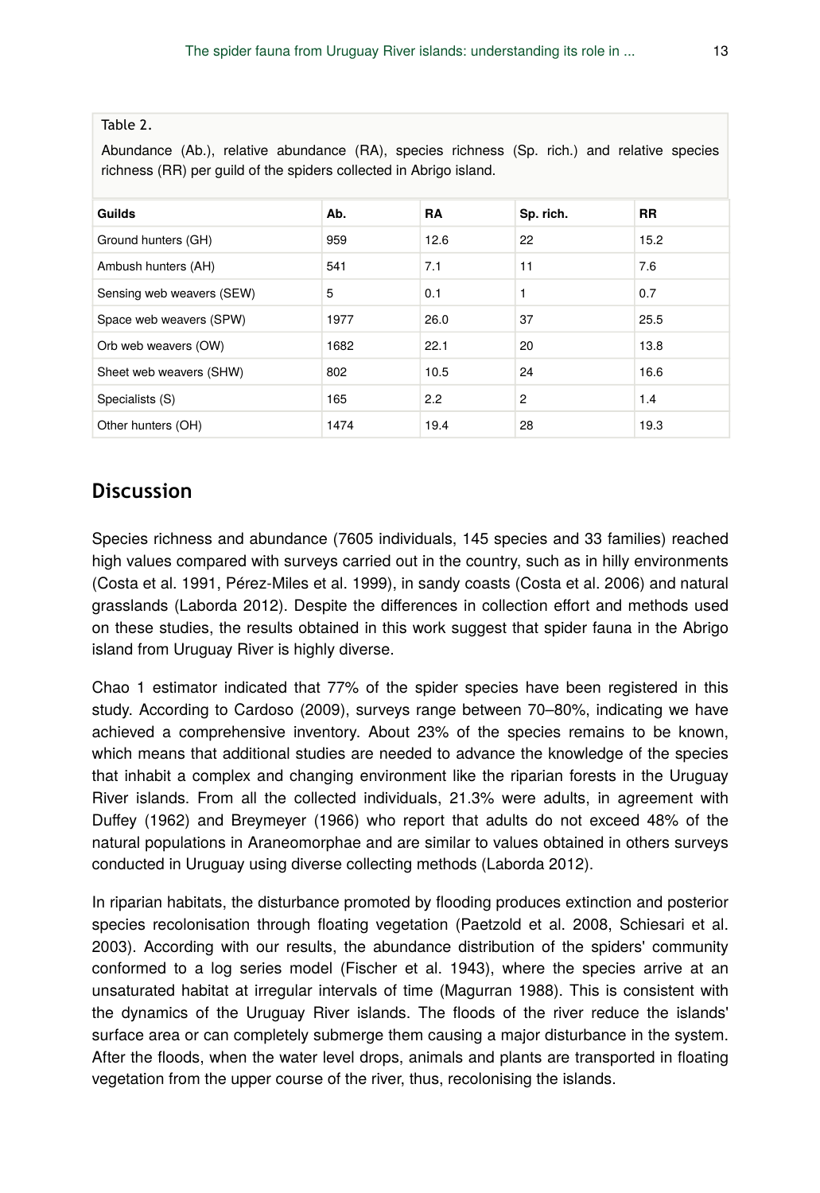Abundance (Ab.), relative abundance (RA), species richness (Sp. rich.) and relative species richness (RR) per guild of the spiders collected in Abrigo island.

| Guilds                    | Ab.  | <b>RA</b> | Sp. rich.      | <b>RR</b> |
|---------------------------|------|-----------|----------------|-----------|
| Ground hunters (GH)       | 959  | 12.6      | 22             | 15.2      |
| Ambush hunters (AH)       | 541  | 7.1       | 11             | 7.6       |
| Sensing web weavers (SEW) | 5    | 0.1       | 1              | 0.7       |
| Space web weavers (SPW)   | 1977 | 26.0      | 37             | 25.5      |
| Orb web weavers (OW)      | 1682 | 22.1      | 20             | 13.8      |
| Sheet web weavers (SHW)   | 802  | 10.5      | 24             | 16.6      |
| Specialists (S)           | 165  | 2.2       | $\overline{2}$ | 1.4       |
| Other hunters (OH)        | 1474 | 19.4      | 28             | 19.3      |

#### **Discussion**

Species richness and abundance (7605 individuals, 145 species and 33 families) reached high values compared with surveys carried out in the country, such as in hilly environments (Costa et al. 1991, Pérez-Miles et al. 1999), in sandy coasts (Costa et al. 2006) and natural grasslands (Laborda 2012). Despite the differences in collection effort and methods used on these studies, the results obtained in this work suggest that spider fauna in the Abrigo island from Uruguay River is highly diverse.

Chao 1 estimator indicated that 77% of the spider species have been registered in this study. According to Cardoso (2009), surveys range between 70–80%, indicating we have achieved a comprehensive inventory. About 23% of the species remains to be known, which means that additional studies are needed to advance the knowledge of the species that inhabit a complex and changing environment like the riparian forests in the Uruguay River islands. From all the collected individuals, 21.3% were adults, in agreement with Duffey (1962) and Breymeyer (1966) who report that adults do not exceed 48% of the natural populations in Araneomorphae and are similar to values obtained in others surveys conducted in Uruguay using diverse collecting methods (Laborda 2012).

In riparian habitats, the disturbance promoted by flooding produces extinction and posterior species recolonisation through floating vegetation (Paetzold et al. 2008, Schiesari et al. 2003). According with our results, the abundance distribution of the spiders' community conformed to a log series model (Fischer et al. 1943), where the species arrive at an unsaturated habitat at irregular intervals of time (Magurran 1988). This is consistent with the dynamics of the Uruguay River islands. The floods of the river reduce the islands' surface area or can completely submerge them causing a major disturbance in the system. After the floods, when the water level drops, animals and plants are transported in floating vegetation from the upper course of the river, thus, recolonising the islands.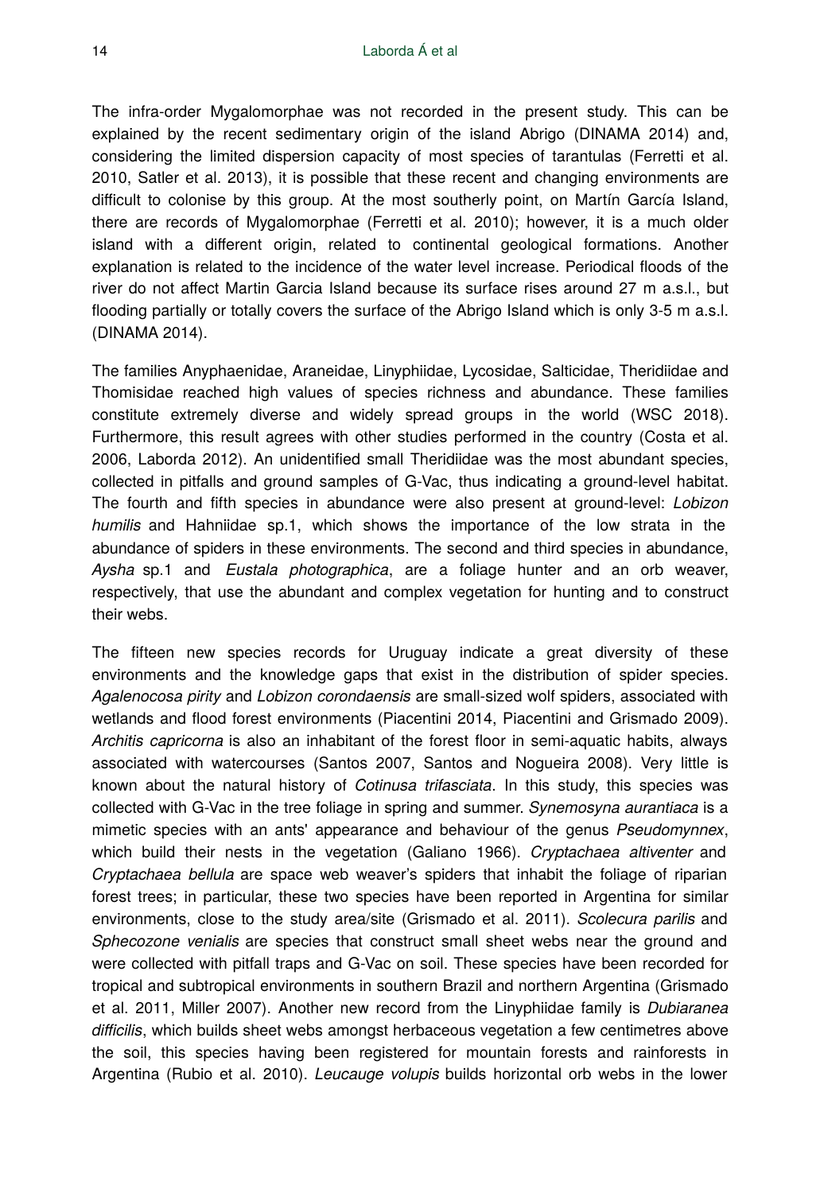The infra-order Mygalomorphae was not recorded in the present study. This can be explained by the recent sedimentary origin of the island Abrigo (DINAMA 2014) and, considering the limited dispersion capacity of most species of tarantulas (Ferretti et al. 2010, Satler et al. 2013), it is possible that these recent and changing environments are difficult to colonise by this group. At the most southerly point, on Martín García Island, there are records of Mygalomorphae (Ferretti et al. 2010); however, it is a much older island with a different origin, related to continental geological formations. Another explanation is related to the incidence of the water level increase. Periodical floods of the river do not affect Martin Garcia Island because its surface rises around 27 m a.s.l., but flooding partially or totally covers the surface of the Abrigo Island which is only 3-5 m a.s.l. (DINAMA 2014).

The families Anyphaenidae, Araneidae, Linyphiidae, Lycosidae, Salticidae, Theridiidae and Thomisidae reached high values of species richness and abundance. These families constitute extremely diverse and widely spread groups in the world (WSC 2018). Furthermore, this result agrees with other studies performed in the country (Costa et al. 2006, Laborda 2012). An unidentified small Theridiidae was the most abundant species, collected in pitfalls and ground samples of G-Vac, thus indicating a ground-level habitat. The fourth and fifth species in abundance were also present at ground-level: *Lobizon humilis* and Hahniidae sp.1, which shows the importance of the low strata in the abundance of spiders in these environments. The second and third species in abundance, *Aysha* sp.1 and *Eustala photographica*, are a foliage hunter and an orb weaver, respectively, that use the abundant and complex vegetation for hunting and to construct their webs.

The fifteen new species records for Uruguay indicate a great diversity of these environments and the knowledge gaps that exist in the distribution of spider species. *Agalenocosa pirity* and *Lobizon corondaensis* are small-sized wolf spiders, associated with wetlands and flood forest environments (Piacentini 2014, Piacentini and Grismado 2009). *Architis capricorna* is also an inhabitant of the forest floor in semi-aquatic habits, always associated with watercourses (Santos 2007, Santos and Nogueira 2008). Very little is known about the natural history of *Cotinusa trifasciata*. In this study, this species was collected with G-Vac in the tree foliage in spring and summer. *Synemosyna aurantiaca* is a mimetic species with an ants' appearance and behaviour of the genus *Pseudomynnex*, which build their nests in the vegetation (Galiano 1966). *Cryptachaea altiventer* and *Cryptachaea bellula* are space web weaver's spiders that inhabit the foliage of riparian forest trees; in particular, these two species have been reported in Argentina for similar environments, close to the study area/site (Grismado et al. 2011). *Scolecura parilis* and *Sphecozone venialis* are species that construct small sheet webs near the ground and were collected with pitfall traps and G-Vac on soil. These species have been recorded for tropical and subtropical environments in southern Brazil and northern Argentina (Grismado et al. 2011, Miller 2007). Another new record from the Linyphiidae family is *Dubiaranea difficilis*, which builds sheet webs amongst herbaceous vegetation a few centimetres above the soil, this species having been registered for mountain forests and rainforests in Argentina (Rubio et al. 2010). *Leucauge volupis* builds horizontal orb webs in the lower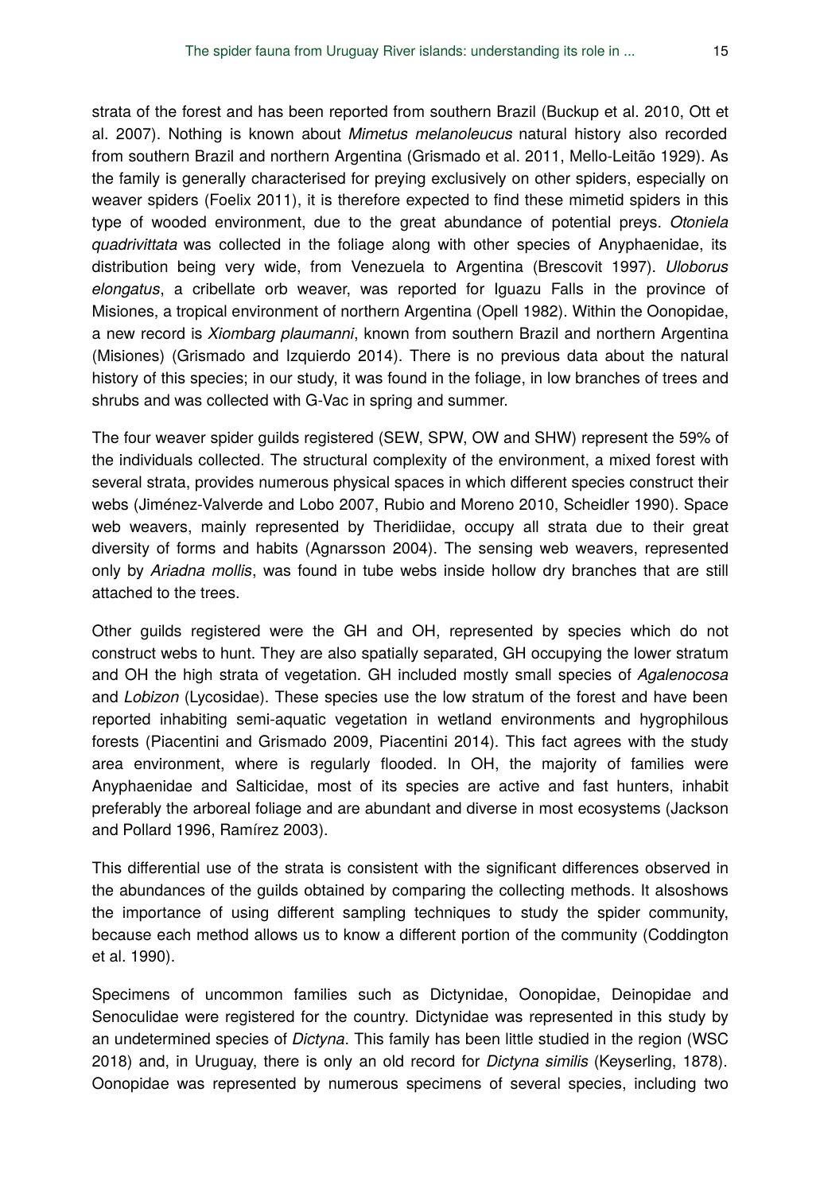strata of the forest and has been reported from southern Brazil (Buckup et al. 2010, Ott et al. 2007). Nothing is known about *Mimetus melanoleucus* natural history also recorded from southern Brazil and northern Argentina (Grismado et al. 2011, Mello-Leitão 1929). As the family is generally characterised for preying exclusively on other spiders, especially on weaver spiders (Foelix 2011), it is therefore expected to find these mimetid spiders in this type of wooded environment, due to the great abundance of potential preys. *Otoniela quadrivittata* was collected in the foliage along with other species of Anyphaenidae, its distribution being very wide, from Venezuela to Argentina (Brescovit 1997). *Uloborus elongatus*, a cribellate orb weaver, was reported for Iguazu Falls in the province of Misiones, a tropical environment of northern Argentina (Opell 1982). Within the Oonopidae, a new record is *Xiombarg plaumanni*, known from southern Brazil and northern Argentina (Misiones) (Grismado and Izquierdo 2014). There is no previous data about the natural history of this species; in our study, it was found in the foliage, in low branches of trees and shrubs and was collected with G-Vac in spring and summer.

The four weaver spider guilds registered (SEW, SPW, OW and SHW) represent the 59% of the individuals collected. The structural complexity of the environment, a mixed forest with several strata, provides numerous physical spaces in which different species construct their webs (Jiménez-Valverde and Lobo 2007, Rubio and Moreno 2010, Scheidler 1990). Space web weavers, mainly represented by Theridiidae, occupy all strata due to their great diversity of forms and habits (Agnarsson 2004). The sensing web weavers, represented only by *Ariadna mollis*, was found in tube webs inside hollow dry branches that are still attached to the trees.

Other guilds registered were the GH and OH, represented by species which do not construct webs to hunt. They are also spatially separated, GH occupying the lower stratum and OH the high strata of vegetation. GH included mostly small species of *Agalenocosa* and *Lobizon* (Lycosidae). These species use the low stratum of the forest and have been reported inhabiting semi-aquatic vegetation in wetland environments and hygrophilous forests (Piacentini and Grismado 2009, Piacentini 2014). This fact agrees with the study area environment, where is regularly flooded. In OH, the majority of families were Anyphaenidae and Salticidae, most of its species are active and fast hunters, inhabit preferably the arboreal foliage and are abundant and diverse in most ecosystems (Jackson and Pollard 1996, Ramírez 2003).

This differential use of the strata is consistent with the significant differences observed in the abundances of the guilds obtained by comparing the collecting methods. It alsoshows the importance of using different sampling techniques to study the spider community, because each method allows us to know a different portion of the community (Coddington et al. 1990).

Specimens of uncommon families such as Dictynidae, Oonopidae, Deinopidae and Senoculidae were registered for the country. Dictynidae was represented in this study by an undetermined species of *Dictyna*. This family has been little studied in the region (WSC 2018) and, in Uruguay, there is only an old record for *Dictyna similis* (Keyserling, 1878). Oonopidae was represented by numerous specimens of several species, including two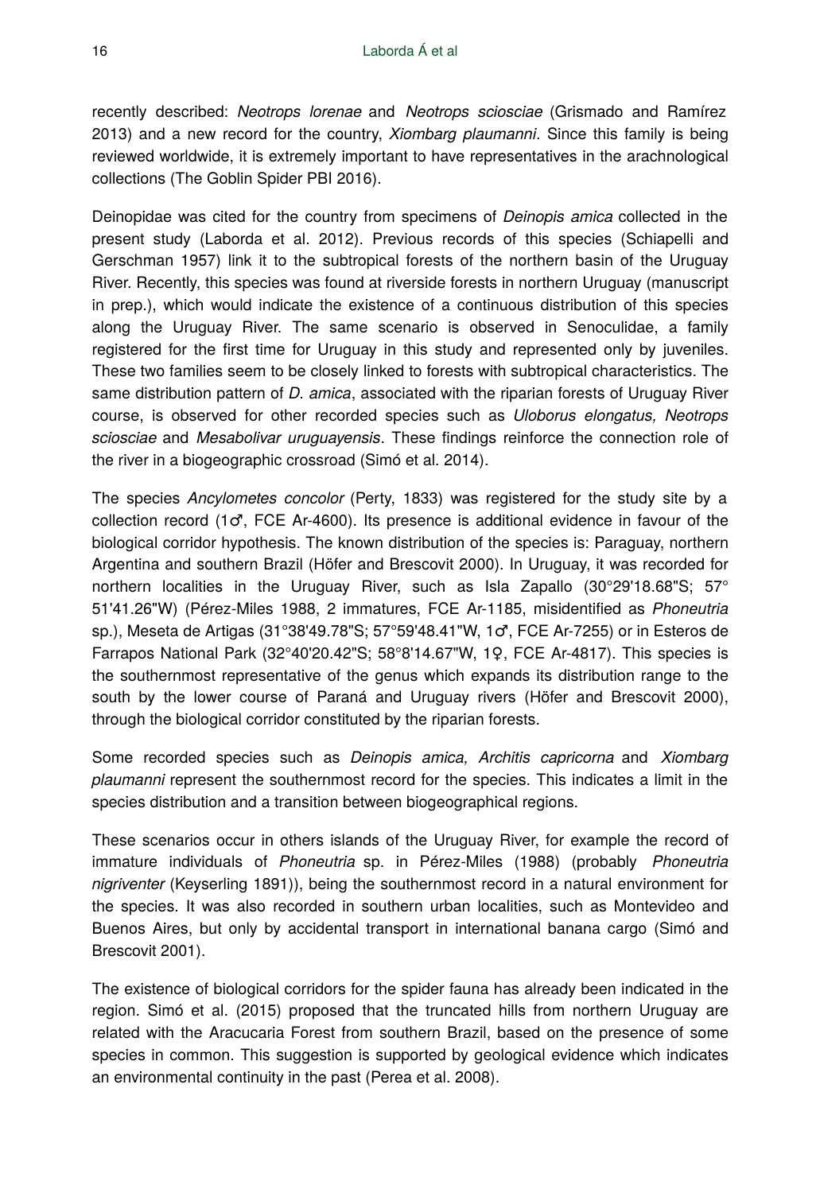recently described: *Neotrops lorenae* and *Neotrops sciosciae* (Grismado and Ramírez 2013) and a new record for the country, *Xiombarg plaumanni*. Since this family is being reviewed worldwide, it is extremely important to have representatives in the arachnological collections (The Goblin Spider PBI 2016).

Deinopidae was cited for the country from specimens of *Deinopis amica* collected in the present study (Laborda et al. 2012). Previous records of this species (Schiapelli and Gerschman 1957) link it to the subtropical forests of the northern basin of the Uruguay River. Recently, this species was found at riverside forests in northern Uruguay (manuscript in prep.), which would indicate the existence of a continuous distribution of this species along the Uruguay River. The same scenario is observed in Senoculidae, a family registered for the first time for Uruguay in this study and represented only by juveniles. These two families seem to be closely linked to forests with subtropical characteristics. The same distribution pattern of *D. amica*, associated with the riparian forests of Uruguay River course, is observed for other recorded species such as *Uloborus elongatus, Neotrops sciosciae* and *Mesabolivar uruguayensis*. These findings reinforce the connection role of the river in a biogeographic crossroad (Simó et al. 2014).

The species *Ancylometes concolor* (Perty, 1833) was registered for the study site by a collection record (1 $\sigma$ , FCE Ar-4600). Its presence is additional evidence in favour of the biological corridor hypothesis. The known distribution of the species is: Paraguay, northern Argentina and southern Brazil (Höfer and Brescovit 2000). In Uruguay, it was recorded for northern localities in the Uruguay River, such as Isla Zapallo (30°29'18.68"S; 57° 51'41.26"W) (Pérez-Miles 1988, 2 immatures, FCE Ar-1185, misidentified as *Phoneutria* sp.), Meseta de Artigas (31°38'49.78"S; 57°59'48.41"W, 1♂, FCE Ar-7255) or in Esteros de Farrapos National Park (32°40'20.42"S; 58°8'14.67"W, 1♀, FCE Ar-4817). This species is the southernmost representative of the genus which expands its distribution range to the south by the lower course of Paraná and Uruguay rivers (Höfer and Brescovit 2000), through the biological corridor constituted by the riparian forests.

Some recorded species such as *Deinopis amica, Architis capricorna* and *Xiombarg plaumanni* represent the southernmost record for the species. This indicates a limit in the species distribution and a transition between biogeographical regions.

These scenarios occur in others islands of the Uruguay River, for example the record of immature individuals of *Phoneutria* sp. in Pérez-Miles (1988) (probably *Phoneutria nigriventer* (Keyserling 1891)), being the southernmost record in a natural environment for the species. It was also recorded in southern urban localities, such as Montevideo and Buenos Aires, but only by accidental transport in international banana cargo (Simó and Brescovit 2001).

The existence of biological corridors for the spider fauna has already been indicated in the region. Simó et al. (2015) proposed that the truncated hills from northern Uruguay are related with the Aracucaria Forest from southern Brazil, based on the presence of some species in common. This suggestion is supported by geological evidence which indicates an environmental continuity in the past (Perea et al. 2008).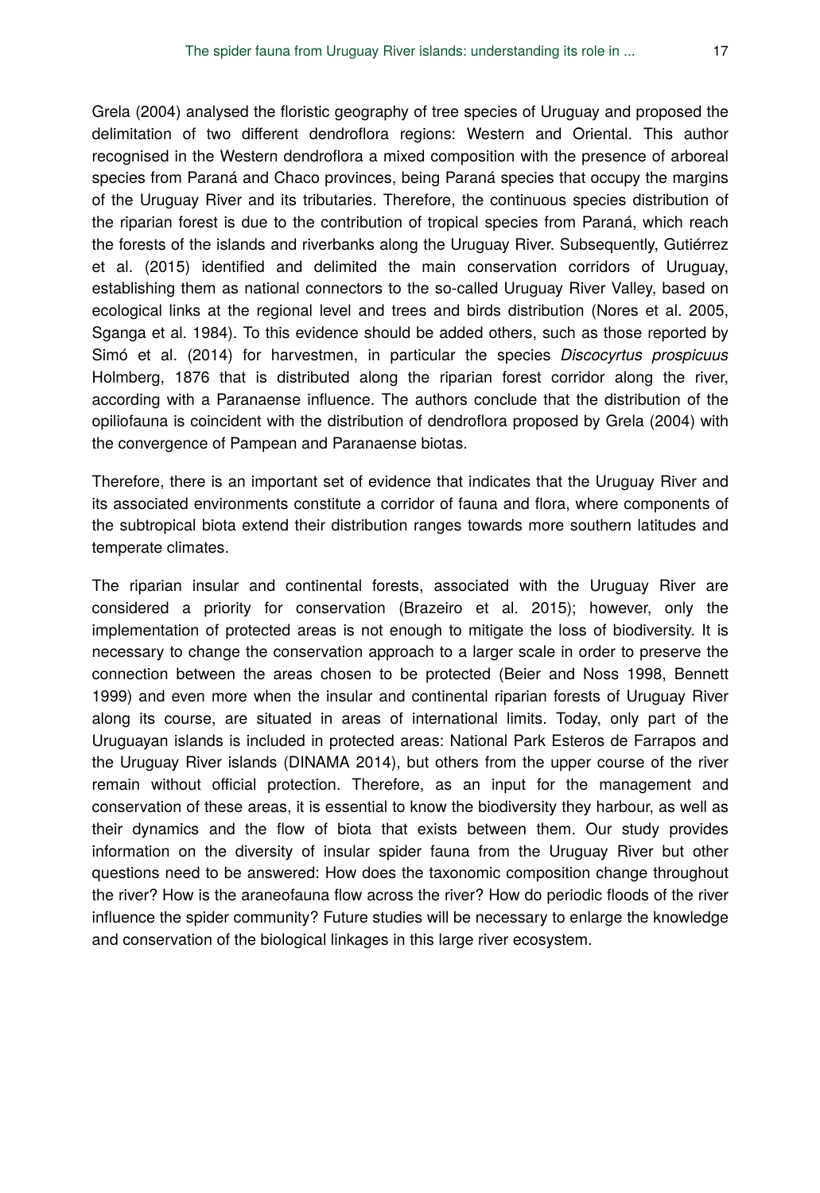Grela (2004) analysed the floristic geography of tree species of Uruguay and proposed the delimitation of two different dendroflora regions: Western and Oriental. This author recognised in the Western dendroflora a mixed composition with the presence of arboreal species from Paraná and Chaco provinces, being Paraná species that occupy the margins of the Uruguay River and its tributaries. Therefore, the continuous species distribution of the riparian forest is due to the contribution of tropical species from Paraná, which reach the forests of the islands and riverbanks along the Uruguay River. Subsequently, Gutiérrez et al. (2015) identified and delimited the main conservation corridors of Uruguay, establishing them as national connectors to the so-called Uruguay River Valley, based on ecological links at the regional level and trees and birds distribution (Nores et al. 2005, Sganga et al. 1984). To this evidence should be added others, such as those reported by Simó et al. (2014) for harvestmen, in particular the species *Discocyrtus prospicuus* Holmberg, 1876 that is distributed along the riparian forest corridor along the river, according with a Paranaense influence. The authors conclude that the distribution of the opiliofauna is coincident with the distribution of dendroflora proposed by Grela (2004) with the convergence of Pampean and Paranaense biotas.

Therefore, there is an important set of evidence that indicates that the Uruguay River and its associated environments constitute a corridor of fauna and flora, where components of the subtropical biota extend their distribution ranges towards more southern latitudes and temperate climates.

The riparian insular and continental forests, associated with the Uruguay River are considered a priority for conservation (Brazeiro et al. 2015); however, only the implementation of protected areas is not enough to mitigate the loss of biodiversity. It is necessary to change the conservation approach to a larger scale in order to preserve the connection between the areas chosen to be protected (Beier and Noss 1998, Bennett 1999) and even more when the insular and continental riparian forests of Uruguay River along its course, are situated in areas of international limits. Today, only part of the Uruguayan islands is included in protected areas: National Park Esteros de Farrapos and the Uruguay River islands (DINAMA 2014), but others from the upper course of the river remain without official protection. Therefore, as an input for the management and conservation of these areas, it is essential to know the biodiversity they harbour, as well as their dynamics and the flow of biota that exists between them. Our study provides information on the diversity of insular spider fauna from the Uruguay River but other questions need to be answered: How does the taxonomic composition change throughout the river? How is the araneofauna flow across the river? How do periodic floods of the river influence the spider community? Future studies will be necessary to enlarge the knowledge and conservation of the biological linkages in this large river ecosystem.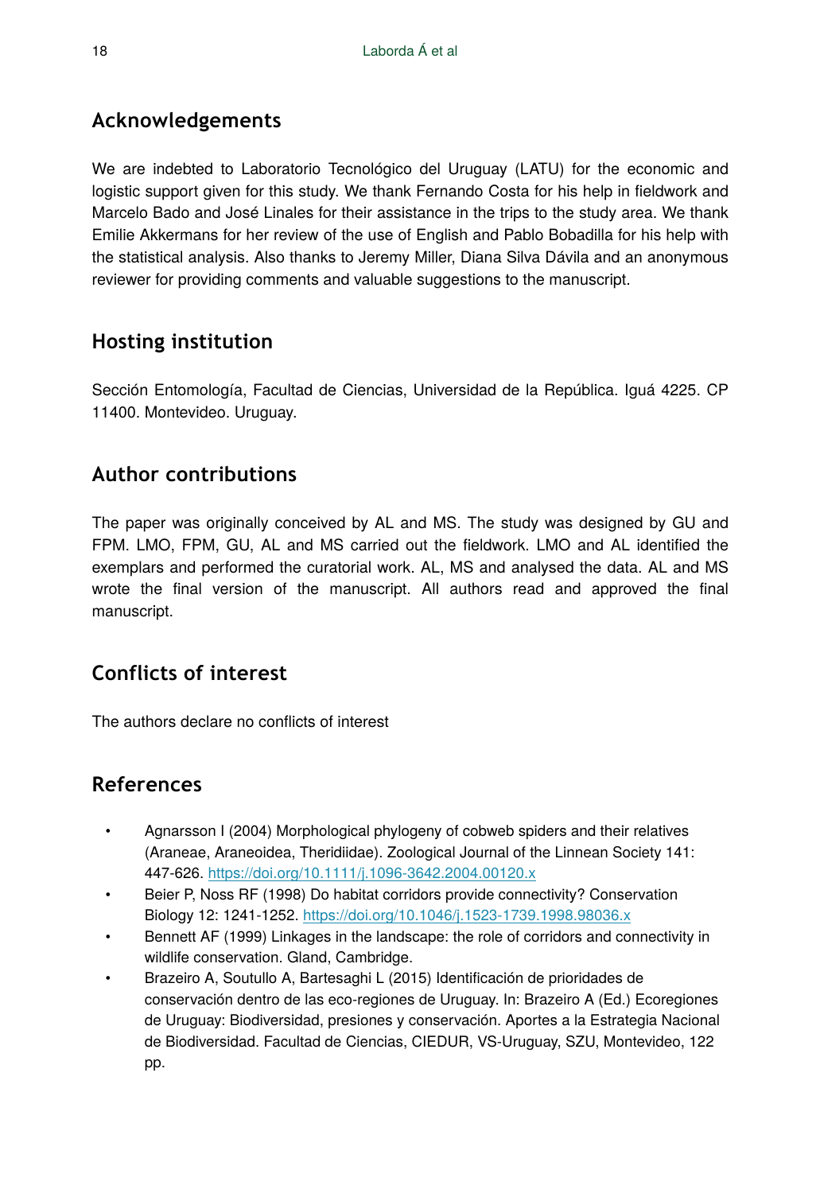## **Acknowledgements**

We are indebted to Laboratorio Tecnológico del Uruguay (LATU) for the economic and logistic support given for this study. We thank Fernando Costa for his help in fieldwork and Marcelo Bado and José Linales for their assistance in the trips to the study area. We thank Emilie Akkermans for her review of the use of English and Pablo Bobadilla for his help with the statistical analysis. Also thanks to Jeremy Miller, Diana Silva Dávila and an anonymous reviewer for providing comments and valuable suggestions to the manuscript.

## **Hosting institution**

Sección Entomología, Facultad de Ciencias, Universidad de la República. Iguá 4225. CP 11400. Montevideo. Uruguay.

## **Author contributions**

The paper was originally conceived by AL and MS. The study was designed by GU and FPM. LMO, FPM, GU, AL and MS carried out the fieldwork. LMO and AL identified the exemplars and performed the curatorial work. AL, MS and analysed the data. AL and MS wrote the final version of the manuscript. All authors read and approved the final manuscript.

## **Conflicts of interest**

The authors declare no conflicts of interest

## **References**

- Agnarsson I (2004) Morphological phylogeny of cobweb spiders and their relatives (Araneae, Araneoidea, Theridiidae). Zoological Journal of the Linnean Society 141: 447‑626. <https://doi.org/10.1111/j.1096-3642.2004.00120.x>
- Beier P, Noss RF (1998) Do habitat corridors provide connectivity? Conservation Biology 12: 1241-1252. <https://doi.org/10.1046/j.1523-1739.1998.98036.x>
- Bennett AF (1999) Linkages in the landscape: the role of corridors and connectivity in wildlife conservation. Gland, Cambridge.
- Brazeiro A, Soutullo A, Bartesaghi L (2015) Identificación de prioridades de conservación dentro de las eco-regiones de Uruguay. In: Brazeiro A (Ed.) Ecoregiones de Uruguay: Biodiversidad, presiones y conservación. Aportes a la Estrategia Nacional de Biodiversidad. Facultad de Ciencias, CIEDUR, VS-Uruguay, SZU, Montevideo, 122 pp.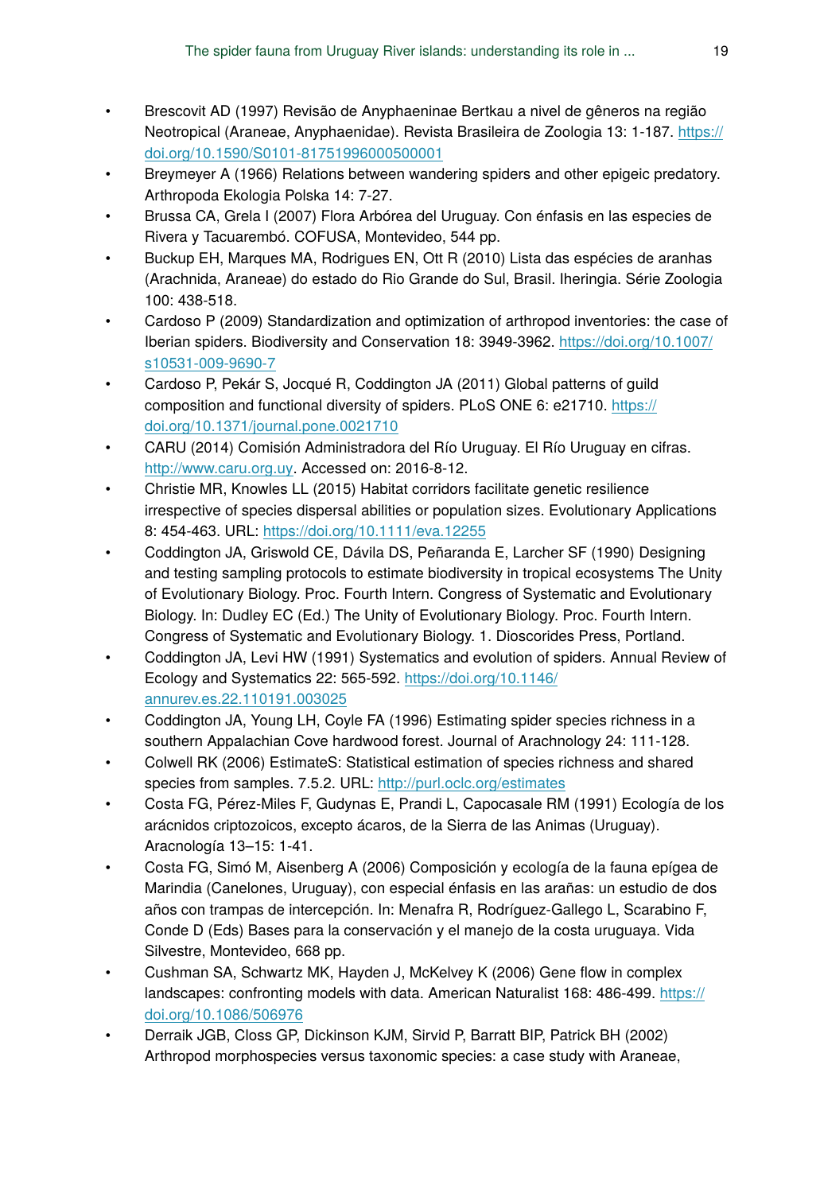- Brescovit AD (1997) Revisão de Anyphaeninae Bertkau a nivel de gêneros na região Neotropical (Araneae, Anyphaenidae). Revista Brasileira de Zoologia 13: 1-187. [https://](https://doi.org/10.1590/S0101-81751996000500001) [doi.org/10.1590/S0101-81751996000500001](https://doi.org/10.1590/S0101-81751996000500001)
- Breymeyer A (1966) Relations between wandering spiders and other epigeic predatory. Arthropoda Ekologia Polska 14: 7‑27.
- Brussa CA, Grela I (2007) Flora Arbórea del Uruguay. Con énfasis en las especies de Rivera y Tacuarembó. COFUSA, Montevideo, 544 pp.
- Buckup EH, Marques MA, Rodrigues EN, Ott R (2010) Lista das espécies de aranhas (Arachnida, Araneae) do estado do Rio Grande do Sul, Brasil. Iheringia. Série Zoologia 100: 438‑518.
- Cardoso P (2009) Standardization and optimization of arthropod inventories: the case of Iberian spiders. Biodiversity and Conservation 18: 3949‑3962. [https://doi.org/10.1007/](https://doi.org/10.1007/s10531-009-9690-7) [s10531-009-9690-7](https://doi.org/10.1007/s10531-009-9690-7)
- Cardoso P, Pekár S, Jocqué R, Coddington JA (2011) Global patterns of guild composition and functional diversity of spiders. PLoS ONE 6: e21710. [https://](https://doi.org/10.1371/journal.pone.0021710) [doi.org/10.1371/journal.pone.0021710](https://doi.org/10.1371/journal.pone.0021710)
- CARU (2014) Comisión Administradora del Río Uruguay. El Río Uruguay en cifras. <http://www.caru.org.uy>. Accessed on: 2016-8-12.
- Christie MR, Knowles LL (2015) Habitat corridors facilitate genetic resilience irrespective of species dispersal abilities or population sizes. Evolutionary Applications 8: 454‑463. URL: <https://doi.org/10.1111/eva.12255>
- Coddington JA, Griswold CE, Dávila DS, Peñaranda E, Larcher SF (1990) Designing and testing sampling protocols to estimate biodiversity in tropical ecosystems The Unity of Evolutionary Biology. Proc. Fourth Intern. Congress of Systematic and Evolutionary Biology. In: Dudley EC (Ed.) The Unity of Evolutionary Biology. Proc. Fourth Intern. Congress of Systematic and Evolutionary Biology. 1. Dioscorides Press, Portland.
- Coddington JA, Levi HW (1991) Systematics and evolution of spiders. Annual Review of Ecology and Systematics 22: 565‑592. [https://doi.org/10.1146/](https://doi.org/10.1146/annurev.es.22.110191.003025) [annurev.es.22.110191.003025](https://doi.org/10.1146/annurev.es.22.110191.003025)
- Coddington JA, Young LH, Coyle FA (1996) Estimating spider species richness in a southern Appalachian Cove hardwood forest. Journal of Arachnology 24: 111‑128.
- Colwell RK (2006) EstimateS: Statistical estimation of species richness and shared species from samples. 7.5.2. URL: <http://purl.oclc.org/estimates>
- Costa FG, Pérez-Miles F, Gudynas E, Prandi L, Capocasale RM (1991) Ecología de los arácnidos criptozoicos, excepto ácaros, de la Sierra de las Animas (Uruguay). Aracnología 13–15: 1‑41.
- Costa FG, Simó M, Aisenberg A (2006) Composición y ecología de la fauna epígea de Marindia (Canelones, Uruguay), con especial énfasis en las arañas: un estudio de dos años con trampas de intercepción. In: Menafra R, Rodríguez-Gallego L, Scarabino F, Conde D (Eds) Bases para la conservación y el manejo de la costa uruguaya. Vida Silvestre, Montevideo, 668 pp.
- Cushman SA, Schwartz MK, Hayden J, McKelvey K (2006) Gene flow in complex landscapes: confronting models with data. American Naturalist 168: 486-499. [https://](https://doi.org/10.1086/506976) [doi.org/10.1086/506976](https://doi.org/10.1086/506976)
- Derraik JGB, Closs GP, Dickinson KJM, Sirvid P, Barratt BIP, Patrick BH (2002) Arthropod morphospecies versus taxonomic species: a case study with Araneae,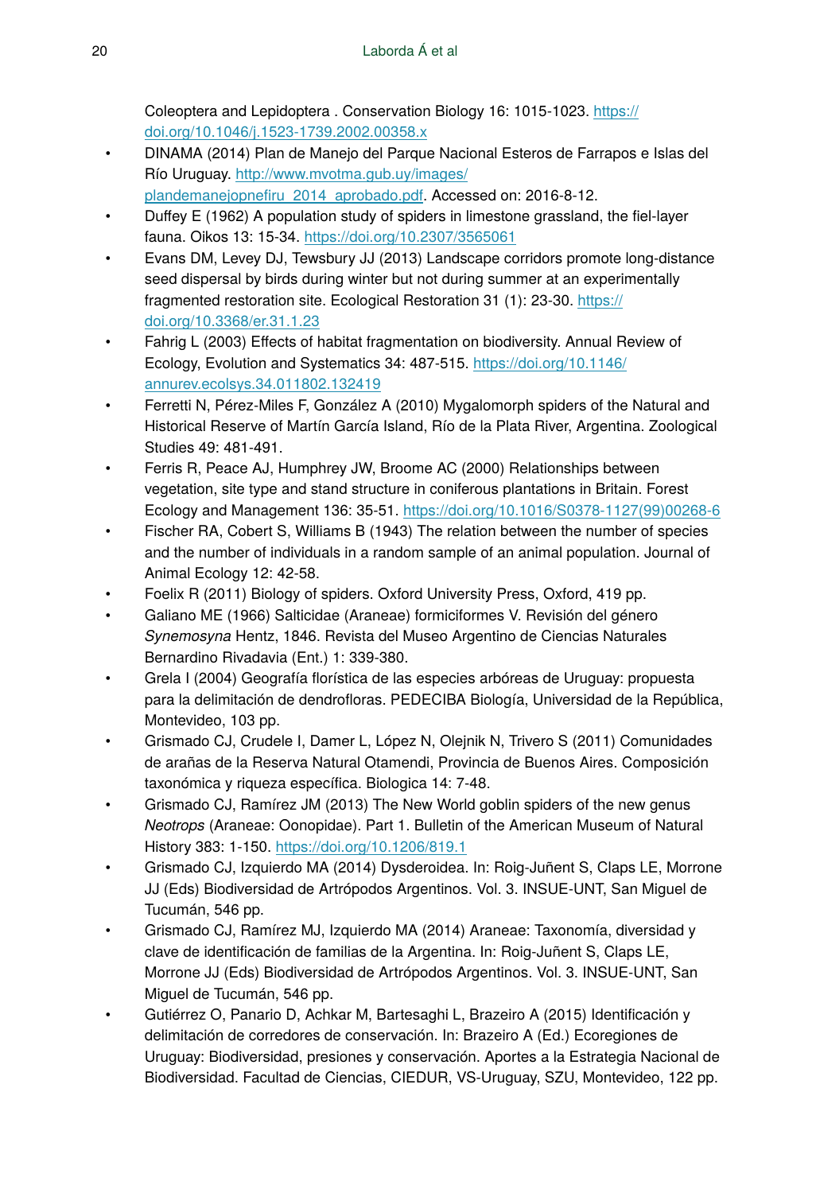Coleoptera and Lepidoptera . Conservation Biology 16: 1015‑1023. [https://](https://doi.org/10.1046/j.1523-1739.2002.00358.x) [doi.org/10.1046/j.1523-1739.2002.00358.x](https://doi.org/10.1046/j.1523-1739.2002.00358.x)

- DINAMA (2014) Plan de Manejo del Parque Nacional Esteros de Farrapos e Islas del Río Uruguay. [http://www.mvotma.gub.uy/images/](http://www.mvotma.gub.uy/images/plandemanejopnefiru_2014_aprobado.pdf)
- plandemanejopnefi[ru\\_2014\\_aprobado.pdf](http://www.mvotma.gub.uy/images/plandemanejopnefiru_2014_aprobado.pdf). Accessed on: 2016-8-12.
- Duffey E (1962) A population study of spiders in limestone grassland, the fiel-layer fauna. Oikos 13: 15‑34.<https://doi.org/10.2307/3565061>
- Evans DM, Levey DJ, Tewsbury JJ (2013) Landscape corridors promote long-distance seed dispersal by birds during winter but not during summer at an experimentally fragmented restoration site. Ecological Restoration 31 (1): 23-30. [https://](https://doi.org/10.3368/er.31.1.23) [doi.org/10.3368/er.31.1.23](https://doi.org/10.3368/er.31.1.23)
- Fahrig L (2003) Effects of habitat fragmentation on biodiversity. Annual Review of Ecology, Evolution and Systematics 34: 487‑515. [https://doi.org/10.1146/](https://doi.org/10.1146/annurev.ecolsys.34.011802.132419) [annurev.ecolsys.34.011802.132419](https://doi.org/10.1146/annurev.ecolsys.34.011802.132419)
- Ferretti N, Pérez-Miles F, González A (2010) Mygalomorph spiders of the Natural and Historical Reserve of Martín García Island, Río de la Plata River, Argentina. Zoological Studies 49: 481‑491.
- Ferris R, Peace AJ, Humphrey JW, Broome AC (2000) Relationships between vegetation, site type and stand structure in coniferous plantations in Britain. Forest Ecology and Management 136: 35‑51. [https://doi.org/10.1016/S0378-1127\(99\)00268-6](https://doi.org/10.1016/S0378-1127(99)00268-6)
- Fischer RA, Cobert S, Williams B (1943) The relation between the number of species and the number of individuals in a random sample of an animal population. Journal of Animal Ecology 12: 42‑58.
- Foelix R (2011) Biology of spiders. Oxford University Press, Oxford, 419 pp.
- Galiano ME (1966) Salticidae (Araneae) formiciformes V. Revisión del género *Synemosyna* Hentz, 1846. Revista del Museo Argentino de Ciencias Naturales Bernardino Rivadavia (Ent.) 1: 339‑380.
- Grela I (2004) Geografía florística de las especies arbóreas de Uruguay: propuesta para la delimitación de dendrofloras. PEDECIBA Biología, Universidad de la República, Montevideo, 103 pp.
- Grismado CJ, Crudele I, Damer L, López N, Olejnik N, Trivero S (2011) Comunidades de arañas de la Reserva Natural Otamendi, Provincia de Buenos Aires. Composición taxonómica y riqueza específica. Biologica 14: 7‑48.
- Grismado CJ, Ramírez JM (2013) The New World goblin spiders of the new genus *Neotrops* (Araneae: Oonopidae). Part 1. Bulletin of the American Museum of Natural History 383: 1-150.<https://doi.org/10.1206/819.1>
- Grismado CJ, Izquierdo MA (2014) Dysderoidea. In: Roig-Juñent S, Claps LE, Morrone JJ (Eds) Biodiversidad de Artrópodos Argentinos. Vol. 3. INSUE-UNT, San Miguel de Tucumán, 546 pp.
- Grismado CJ, Ramírez MJ, Izquierdo MA (2014) Araneae: Taxonomía, diversidad y clave de identificación de familias de la Argentina. In: Roig-Juñent S, Claps LE, Morrone JJ (Eds) Biodiversidad de Artrópodos Argentinos. Vol. 3. INSUE-UNT, San Miguel de Tucumán, 546 pp.
- Gutiérrez O, Panario D, Achkar M, Bartesaghi L, Brazeiro A (2015) Identificación y delimitación de corredores de conservación. In: Brazeiro A (Ed.) Ecoregiones de Uruguay: Biodiversidad, presiones y conservación. Aportes a la Estrategia Nacional de Biodiversidad. Facultad de Ciencias, CIEDUR, VS-Uruguay, SZU, Montevideo, 122 pp.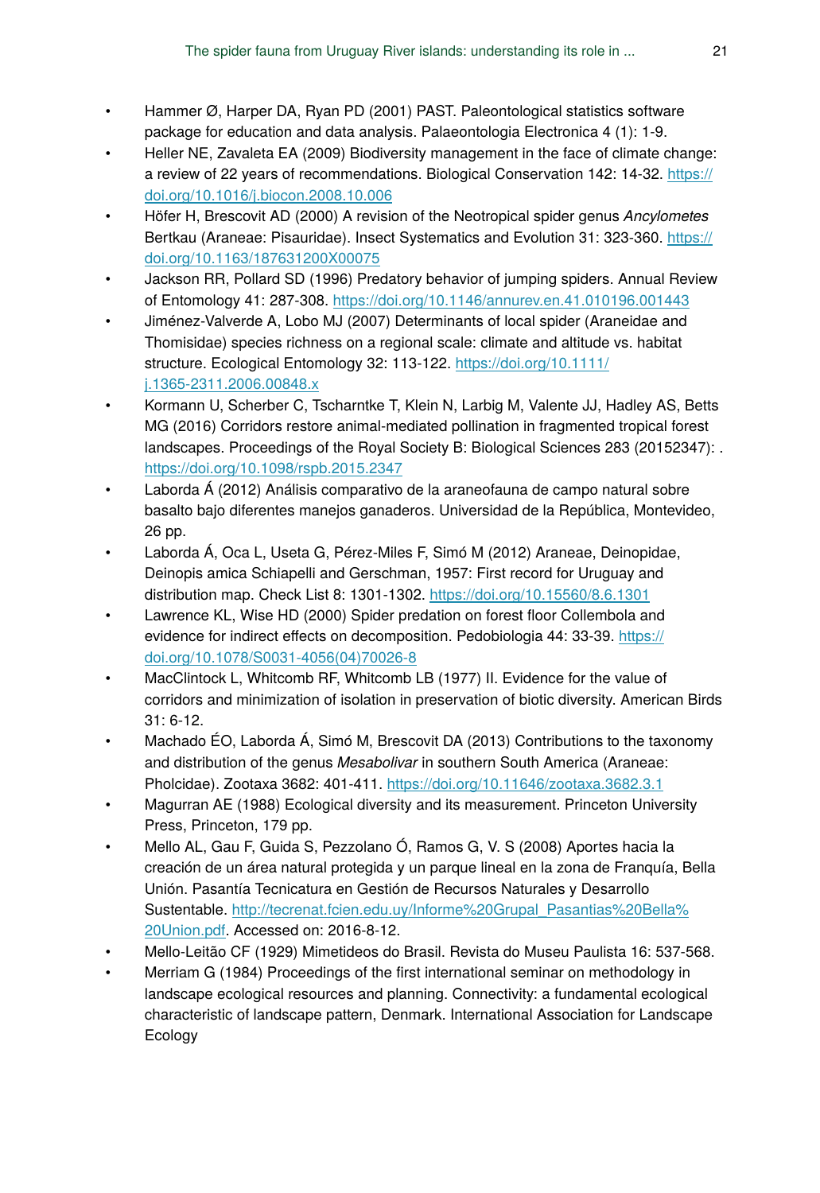- Hammer Ø, Harper DA, Ryan PD (2001) PAST. Paleontological statistics software package for education and data analysis. Palaeontologia Electronica 4 (1): 1‑9.
- Heller NE, Zavaleta EA (2009) Biodiversity management in the face of climate change: a review of 22 years of recommendations. Biological Conservation 142: 14-32. [https://](https://doi.org/10.1016/j.biocon.2008.10.006) [doi.org/10.1016/j.biocon.2008.10.006](https://doi.org/10.1016/j.biocon.2008.10.006)
- Höfer H, Brescovit AD (2000) A revision of the Neotropical spider genus *Ancylometes* Bertkau (Araneae: Pisauridae). Insect Systematics and Evolution 31: 323-360. [https://](https://doi.org/10.1163/187631200X00075) [doi.org/10.1163/187631200X00075](https://doi.org/10.1163/187631200X00075)
- Jackson RR, Pollard SD (1996) Predatory behavior of jumping spiders. Annual Review of Entomology 41: 287‑308. <https://doi.org/10.1146/annurev.en.41.010196.001443>
- Jiménez-Valverde A, Lobo MJ (2007) Determinants of local spider (Araneidae and Thomisidae) species richness on a regional scale: climate and altitude vs. habitat structure. Ecological Entomology 32: 113-122. [https://doi.org/10.1111/](https://doi.org/10.1111/j.1365-2311.2006.00848.x) [j.1365-2311.2006.00848.x](https://doi.org/10.1111/j.1365-2311.2006.00848.x)
- Kormann U, Scherber C, Tscharntke T, Klein N, Larbig M, Valente JJ, Hadley AS, Betts MG (2016) Corridors restore animal-mediated pollination in fragmented tropical forest landscapes. Proceedings of the Royal Society B: Biological Sciences 283 (20152347): . <https://doi.org/10.1098/rspb.2015.2347>
- Laborda Á (2012) Análisis comparativo de la araneofauna de campo natural sobre basalto bajo diferentes manejos ganaderos. Universidad de la República, Montevideo, 26 pp.
- Laborda Á, Oca L, Useta G, Pérez-Miles F, Simó M (2012) Araneae, Deinopidae, Deinopis amica Schiapelli and Gerschman, 1957: First record for Uruguay and distribution map. Check List 8: 1301-1302.<https://doi.org/10.15560/8.6.1301>
- Lawrence KL, Wise HD (2000) Spider predation on forest floor Collembola and evidence for indirect effects on decomposition. Pedobiologia 44: 33-39. [https://](https://doi.org/10.1078/S0031-4056(04)70026-8) [doi.org/10.1078/S0031-4056\(04\)70026-8](https://doi.org/10.1078/S0031-4056(04)70026-8)
- MacClintock L, Whitcomb RF, Whitcomb LB (1977) II. Evidence for the value of corridors and minimization of isolation in preservation of biotic diversity. American Birds 31: 6‑12.
- Machado ÉO, Laborda Á, Simó M, Brescovit DA (2013) Contributions to the taxonomy and distribution of the genus *Mesabolivar* in southern South America (Araneae: Pholcidae). Zootaxa 3682: 401‑411. <https://doi.org/10.11646/zootaxa.3682.3.1>
- Magurran AE (1988) Ecological diversity and its measurement. Princeton University Press, Princeton, 179 pp.
- Mello AL, Gau F, Guida S, Pezzolano Ó, Ramos G, V. S (2008) Aportes hacia la creación de un área natural protegida y un parque lineal en la zona de Franquía, Bella Unión. Pasantía Tecnicatura en Gestión de Recursos Naturales y Desarrollo Sustentable. [http://tecrenat.fcien.edu.uy/Informe%20Grupal\\_Pasantias%20Bella%](http://tecrenat.fcien.edu.uy/Informe%20Grupal_Pasantias%20Bella%20Union.pdf) [20Union.pdf.](http://tecrenat.fcien.edu.uy/Informe%20Grupal_Pasantias%20Bella%20Union.pdf) Accessed on: 2016-8-12.
- Mello-Leitão CF (1929) Mimetideos do Brasil. Revista do Museu Paulista 16: 537‑568.
- Merriam G (1984) Proceedings of the first international seminar on methodology in landscape ecological resources and planning. Connectivity: a fundamental ecological characteristic of landscape pattern, Denmark. International Association for Landscape **Ecology**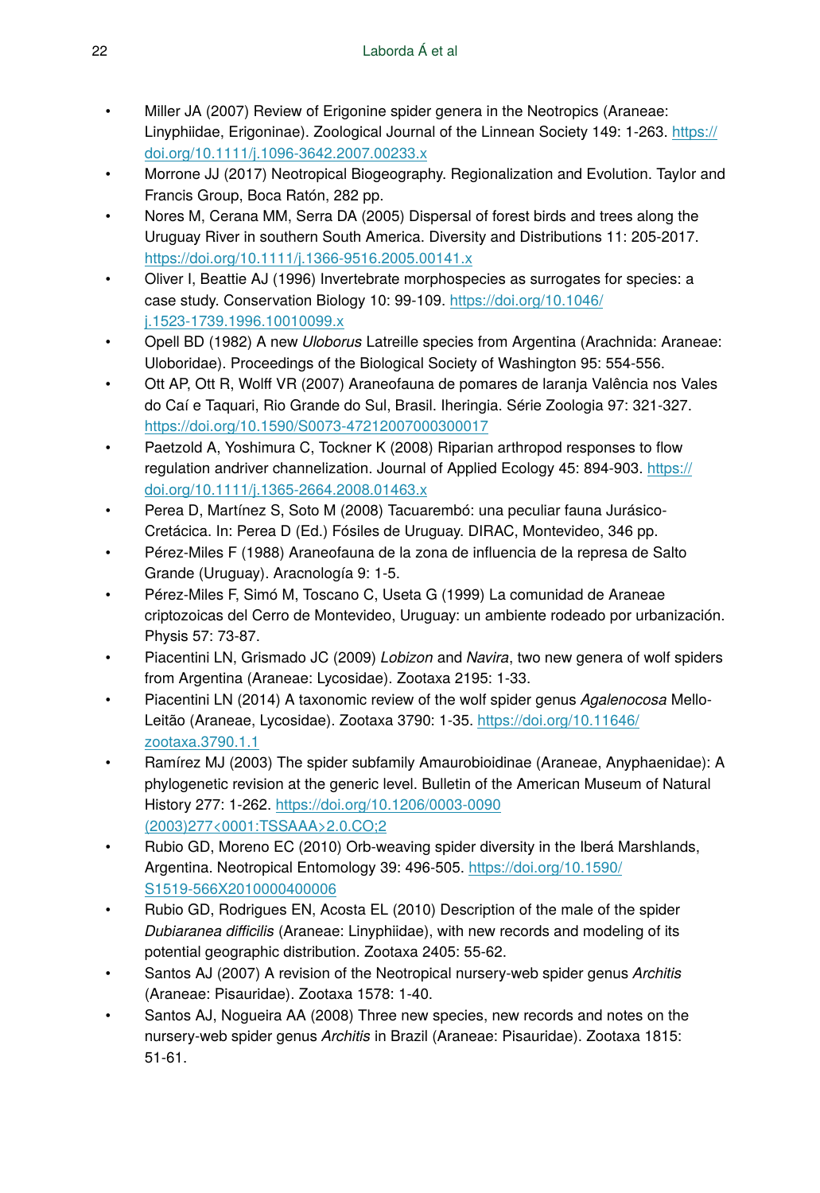- Miller JA (2007) Review of Erigonine spider genera in the Neotropics (Araneae: Linyphiidae, Erigoninae). Zoological Journal of the Linnean Society 149: 1-263. [https://](https://doi.org/10.1111/j.1096-3642.2007.00233.x) [doi.org/10.1111/j.1096-3642.2007.00233.x](https://doi.org/10.1111/j.1096-3642.2007.00233.x)
- Morrone JJ (2017) Neotropical Biogeography. Regionalization and Evolution. Taylor and Francis Group, Boca Ratón, 282 pp.
- Nores M, Cerana MM, Serra DA (2005) Dispersal of forest birds and trees along the Uruguay River in southern South America. Diversity and Distributions 11: 205‑2017. <https://doi.org/10.1111/j.1366-9516.2005.00141.x>
- Oliver I, Beattie AJ (1996) Invertebrate morphospecies as surrogates for species: a case study. Conservation Biology 10: 99-109. [https://doi.org/10.1046/](https://doi.org/10.1046/j.1523-1739.1996.10010099.x) [j.1523-1739.1996.10010099.x](https://doi.org/10.1046/j.1523-1739.1996.10010099.x)
- Opell BD (1982) A new *Uloborus* Latreille species from Argentina (Arachnida: Araneae: Uloboridae). Proceedings of the Biological Society of Washington 95: 554‑556.
- Ott AP, Ott R, Wolff VR (2007) Araneofauna de pomares de laranja Valência nos Vales do Caí e Taquari, Rio Grande do Sul, Brasil. Iheringia. Série Zoologia 97: 321‑327. <https://doi.org/10.1590/S0073-47212007000300017>
- Paetzold A, Yoshimura C, Tockner K (2008) Riparian arthropod responses to flow regulation andriver channelization. Journal of Applied Ecology 45: 894-903. [https://](https://doi.org/10.1111/j.1365-2664.2008.01463.x) [doi.org/10.1111/j.1365-2664.2008.01463.x](https://doi.org/10.1111/j.1365-2664.2008.01463.x)
- Perea D, Martínez S, Soto M (2008) Tacuarembó: una peculiar fauna Jurásico-Cretácica. In: Perea D (Ed.) Fósiles de Uruguay. DIRAC, Montevideo, 346 pp.
- Pérez-Miles F (1988) Araneofauna de la zona de influencia de la represa de Salto Grande (Uruguay). Aracnología 9: 1‑5.
- Pérez-Miles F, Simó M, Toscano C, Useta G (1999) La comunidad de Araneae criptozoicas del Cerro de Montevideo, Uruguay: un ambiente rodeado por urbanización. Physis 57: 73‑87.
- Piacentini LN, Grismado JC (2009) *Lobizon* and *Navira*, two new genera of wolf spiders from Argentina (Araneae: Lycosidae). Zootaxa 2195: 1‑33.
- Piacentini LN (2014) A taxonomic review of the wolf spider genus *Agalenocosa* MelloLeitão (Araneae, Lycosidae). Zootaxa 3790: 1-35. [https://doi.org/10.11646/](https://doi.org/10.11646/zootaxa.3790.1.1) [zootaxa.3790.1.1](https://doi.org/10.11646/zootaxa.3790.1.1)
- Ramírez MJ (2003) The spider subfamily Amaurobioidinae (Araneae, Anyphaenidae): A phylogenetic revision at the generic level. Bulletin of the American Museum of Natural History 277: 1‑262. [https://doi.org/10.1206/0003-0090](https://doi.org/10.1206/0003-0090(2003)277%3C0001:TSSAAA%3E2.0.CO;2) [\(2003\)277<0001:TSSAAA>2.0.CO;2](https://doi.org/10.1206/0003-0090(2003)277%3C0001:TSSAAA%3E2.0.CO;2)
- Rubio GD, Moreno EC (2010) Orb-weaving spider diversity in the Iberá Marshlands, Argentina. Neotropical Entomology 39: 496‑505. [https://doi.org/10.1590/](https://doi.org/10.1590/S1519-566X2010000400006) [S1519-566X2010000400006](https://doi.org/10.1590/S1519-566X2010000400006)
- Rubio GD, Rodrigues EN, Acosta EL (2010) Description of the male of the spider *Dubiaranea difficilis* (Araneae: Linyphiidae), with new records and modeling of its potential geographic distribution. Zootaxa 2405: 55‑62.
- Santos AJ (2007) A revision of the Neotropical nursery-web spider genus *Architis* (Araneae: Pisauridae). Zootaxa 1578: 1‑40.
- Santos AJ, Nogueira AA (2008) Three new species, new records and notes on the nursery-web spider genus *Architis* in Brazil (Araneae: Pisauridae). Zootaxa 1815: 51‑61.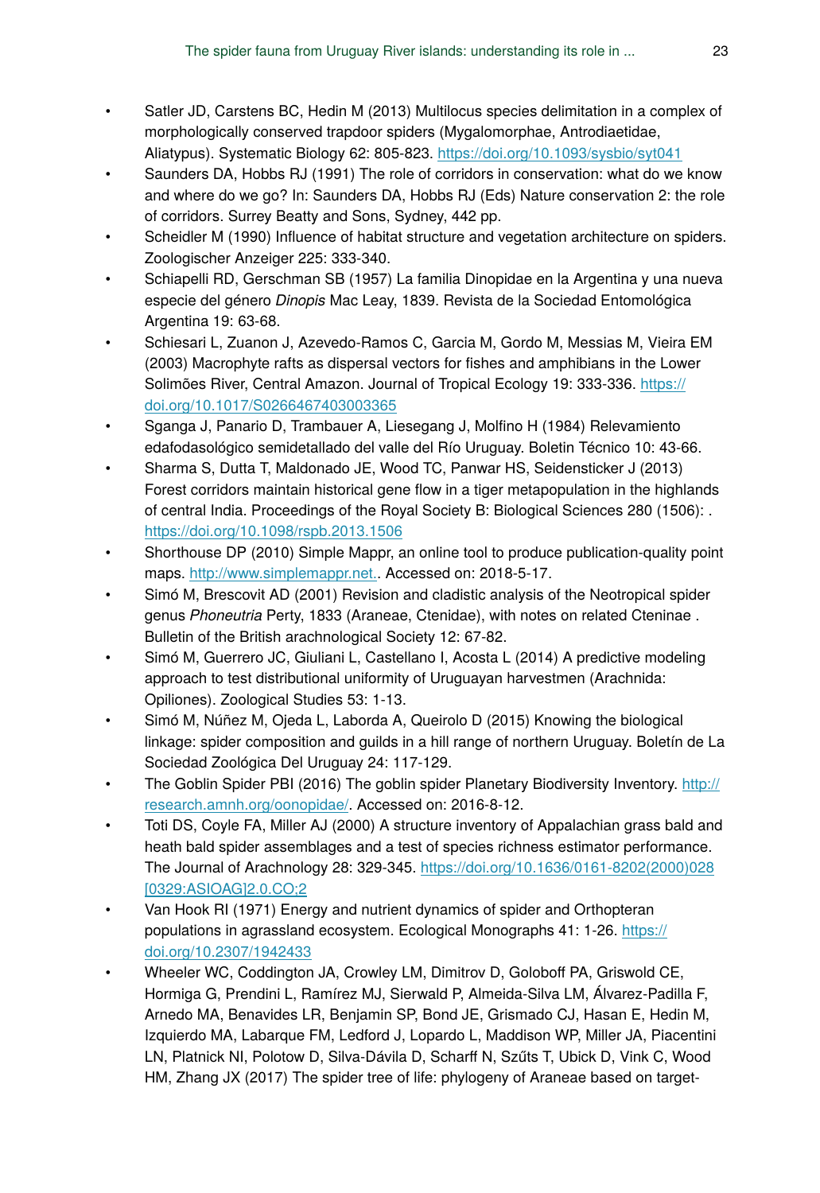- Satler JD, Carstens BC, Hedin M (2013) Multilocus species delimitation in a complex of morphologically conserved trapdoor spiders (Mygalomorphae, Antrodiaetidae, Aliatypus). Systematic Biology 62: 805‑823. <https://doi.org/10.1093/sysbio/syt041>
- Saunders DA, Hobbs RJ (1991) The role of corridors in conservation: what do we know and where do we go? In: Saunders DA, Hobbs RJ (Eds) Nature conservation 2: the role of corridors. Surrey Beatty and Sons, Sydney, 442 pp.
- Scheidler M (1990) Influence of habitat structure and vegetation architecture on spiders. Zoologischer Anzeiger 225: 333‑340.
- Schiapelli RD, Gerschman SB (1957) La familia Dinopidae en la Argentina y una nueva especie del género *Dinopis* Mac Leay, 1839. Revista de la Sociedad Entomológica Argentina 19: 63‑68.
- Schiesari L, Zuanon J, Azevedo-Ramos C, Garcia M, Gordo M, Messias M, Vieira EM (2003) Macrophyte rafts as dispersal vectors for fishes and amphibians in the Lower Solimões River, Central Amazon. Journal of Tropical Ecology 19: 333‑336. [https://](https://doi.org/10.1017/S0266467403003365) [doi.org/10.1017/S0266467403003365](https://doi.org/10.1017/S0266467403003365)
- Sganga J, Panario D, Trambauer A, Liesegang J, Molfino H (1984) Relevamiento edafodasológico semidetallado del valle del Río Uruguay. Boletin Técnico 10: 43‑66.
- Sharma S, Dutta T, Maldonado JE, Wood TC, Panwar HS, Seidensticker J (2013) Forest corridors maintain historical gene flow in a tiger metapopulation in the highlands of central India. Proceedings of the Royal Society B: Biological Sciences 280 (1506): . <https://doi.org/10.1098/rspb.2013.1506>
- Shorthouse DP (2010) Simple Mappr, an online tool to produce publication-quality point maps. [http://www.simplemappr.net..](http://www.simplemappr.net.) Accessed on: 2018-5-17.
- Simó M, Brescovit AD (2001) Revision and cladistic analysis of the Neotropical spider genus *Phoneutria* Perty, 1833 (Araneae, Ctenidae), with notes on related Cteninae . Bulletin of the British arachnological Society 12: 67‑82.
- Simó M, Guerrero JC, Giuliani L, Castellano I, Acosta L (2014) A predictive modeling approach to test distributional uniformity of Uruguayan harvestmen (Arachnida: Opiliones). Zoological Studies 53: 1‑13.
- Simó M, Núñez M, Ojeda L, Laborda A, Queirolo D (2015) Knowing the biological linkage: spider composition and guilds in a hill range of northern Uruguay. Boletín de La Sociedad Zoológica Del Uruguay 24: 117‑129.
- The Goblin Spider PBI (2016) The goblin spider Planetary Biodiversity Inventory. [http://](http://research.amnh.org/oonopidae/) [research.amnh.org/oonopidae/.](http://research.amnh.org/oonopidae/) Accessed on: 2016-8-12.
- Toti DS, Coyle FA, Miller AJ (2000) A structure inventory of Appalachian grass bald and heath bald spider assemblages and a test of species richness estimator performance. The Journal of Arachnology 28: 329‑345. [https://doi.org/10.1636/0161-8202\(2000\)028](https://doi.org/10.1636/0161-8202(2000)028%5B0329:ASIOAG%5D2.0.CO;2) [\[0329:ASIOAG\]2.0.CO;2](https://doi.org/10.1636/0161-8202(2000)028%5B0329:ASIOAG%5D2.0.CO;2)
- Van Hook RI (1971) Energy and nutrient dynamics of spider and Orthopteran populations in agrassland ecosystem. Ecological Monographs 41: 1-26. [https://](https://doi.org/10.2307/1942433) [doi.org/10.2307/1942433](https://doi.org/10.2307/1942433)
- Wheeler WC, Coddington JA, Crowley LM, Dimitrov D, Goloboff PA, Griswold CE, Hormiga G, Prendini L, Ramírez MJ, Sierwald P, Almeida-Silva LM, Álvarez-Padilla F, Arnedo MA, Benavides LR, Benjamin SP, Bond JE, Grismado CJ, Hasan E, Hedin M, Izquierdo MA, Labarque FM, Ledford J, Lopardo L, Maddison WP, Miller JA, Piacentini LN, Platnick NI, Polotow D, Silva-Dávila D, Scharff N, Szűts T, Ubick D, Vink C, Wood HM, Zhang JX (2017) The spider tree of life: phylogeny of Araneae based on target-